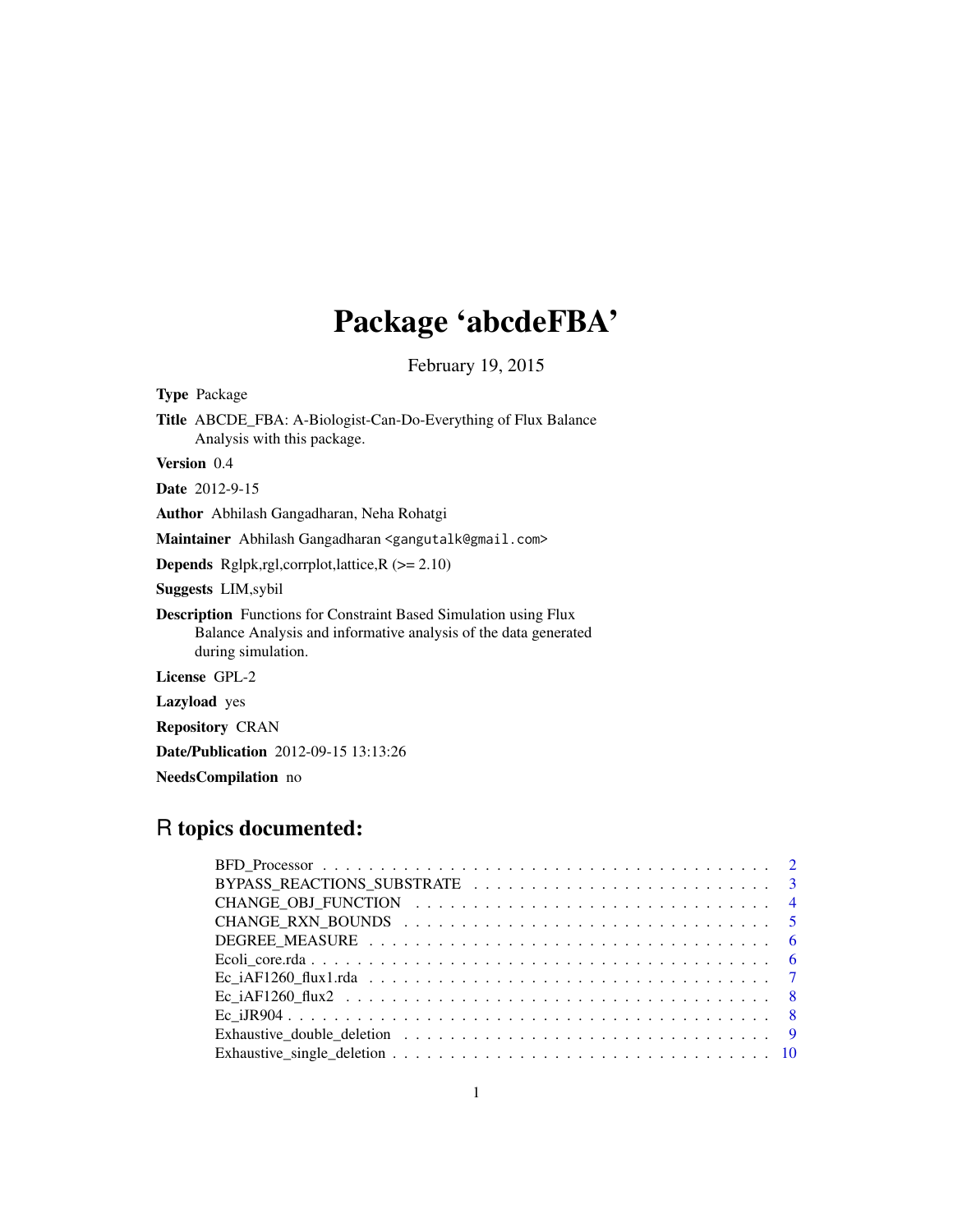# Package 'abcdeFBA'

February 19, 2015

| <b>Type</b> Package                                                                                                                                              |
|------------------------------------------------------------------------------------------------------------------------------------------------------------------|
| <b>Title</b> ABCDE_FBA: A-Biologist-Can-Do-Everything of Flux Balance<br>Analysis with this package.                                                             |
| Version 0.4                                                                                                                                                      |
| <b>Date</b> 2012-9-15                                                                                                                                            |
| <b>Author</b> Abhilash Gangadharan, Neha Rohatgi                                                                                                                 |
| Maintainer Abhilash Gangadharan <gangutalk@gmail.com></gangutalk@gmail.com>                                                                                      |
| <b>Depends</b> Rglpk,rgl,corrplot,lattice, $R$ ( $>= 2.10$ )                                                                                                     |
| <b>Suggests LIM, sybil</b>                                                                                                                                       |
| <b>Description</b> Functions for Constraint Based Simulation using Flux<br>Balance Analysis and informative analysis of the data generated<br>during simulation. |
| License GPL-2                                                                                                                                                    |
| <b>Lazyload</b> yes                                                                                                                                              |
| <b>Repository CRAN</b>                                                                                                                                           |
| <b>Date/Publication</b> 2012-09-15 13:13:26                                                                                                                      |

NeedsCompilation no

## R topics documented: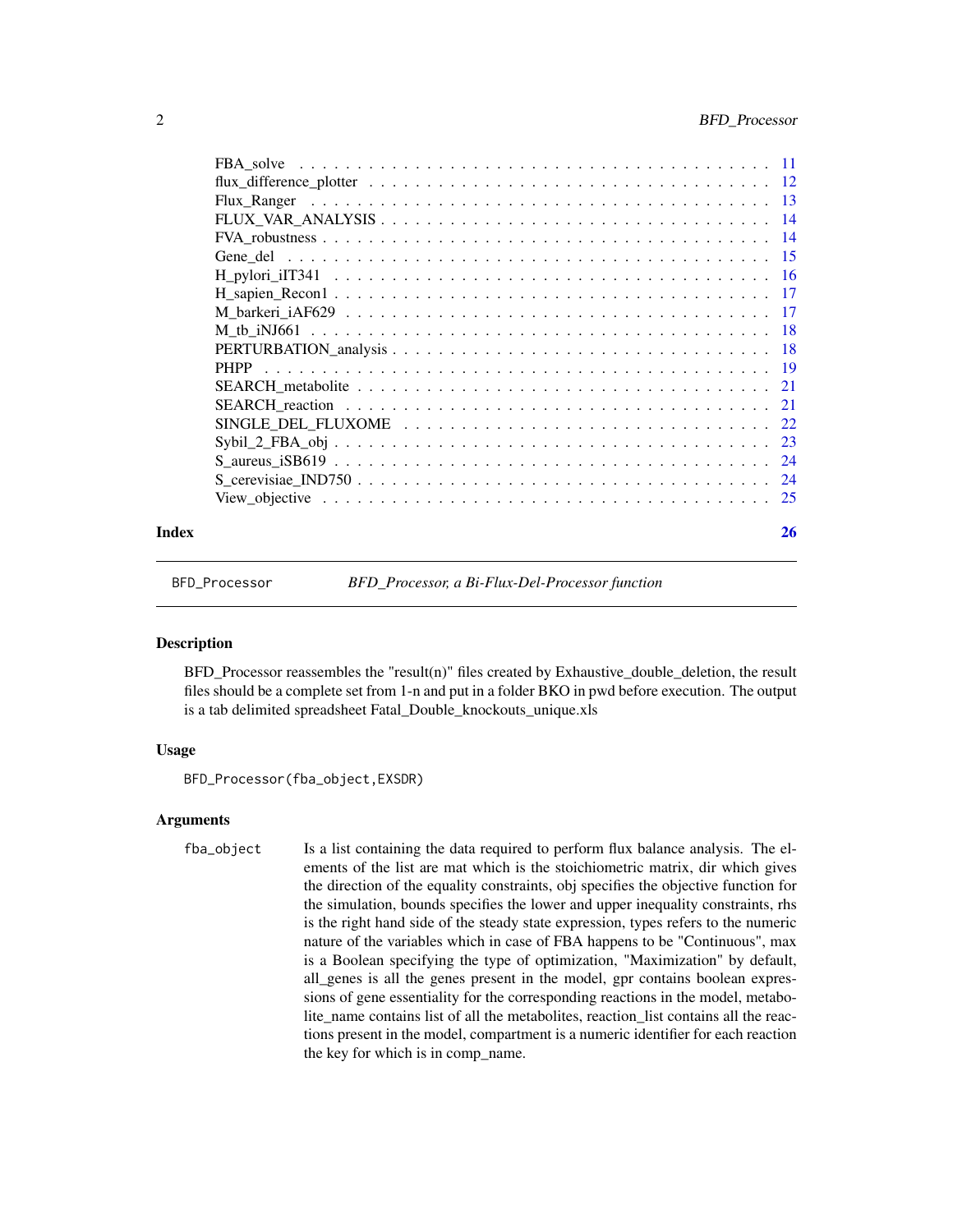<span id="page-1-0"></span>

| <b>PHPP</b>              |
|--------------------------|
| 21                       |
| 21                       |
| 22                       |
| $Sybil_2_FBA_obj$<br>-23 |
| 24                       |
| 24                       |
| -25                      |
|                          |

#### **Index** [26](#page-25-0)

BFD\_Processor *BFD\_Processor, a Bi-Flux-Del-Processor function*

#### **Description**

BFD\_Processor reassembles the "result(n)" files created by Exhaustive\_double\_deletion, the result files should be a complete set from 1-n and put in a folder BKO in pwd before execution. The output is a tab delimited spreadsheet Fatal\_Double\_knockouts\_unique.xls

#### Usage

BFD\_Processor(fba\_object,EXSDR)

#### Arguments

fba\_object Is a list containing the data required to perform flux balance analysis. The elements of the list are mat which is the stoichiometric matrix, dir which gives the direction of the equality constraints, obj specifies the objective function for the simulation, bounds specifies the lower and upper inequality constraints, rhs is the right hand side of the steady state expression, types refers to the numeric nature of the variables which in case of FBA happens to be "Continuous", max is a Boolean specifying the type of optimization, "Maximization" by default, all\_genes is all the genes present in the model, gpr contains boolean expressions of gene essentiality for the corresponding reactions in the model, metabolite\_name contains list of all the metabolites, reaction\_list contains all the reactions present in the model, compartment is a numeric identifier for each reaction the key for which is in comp\_name.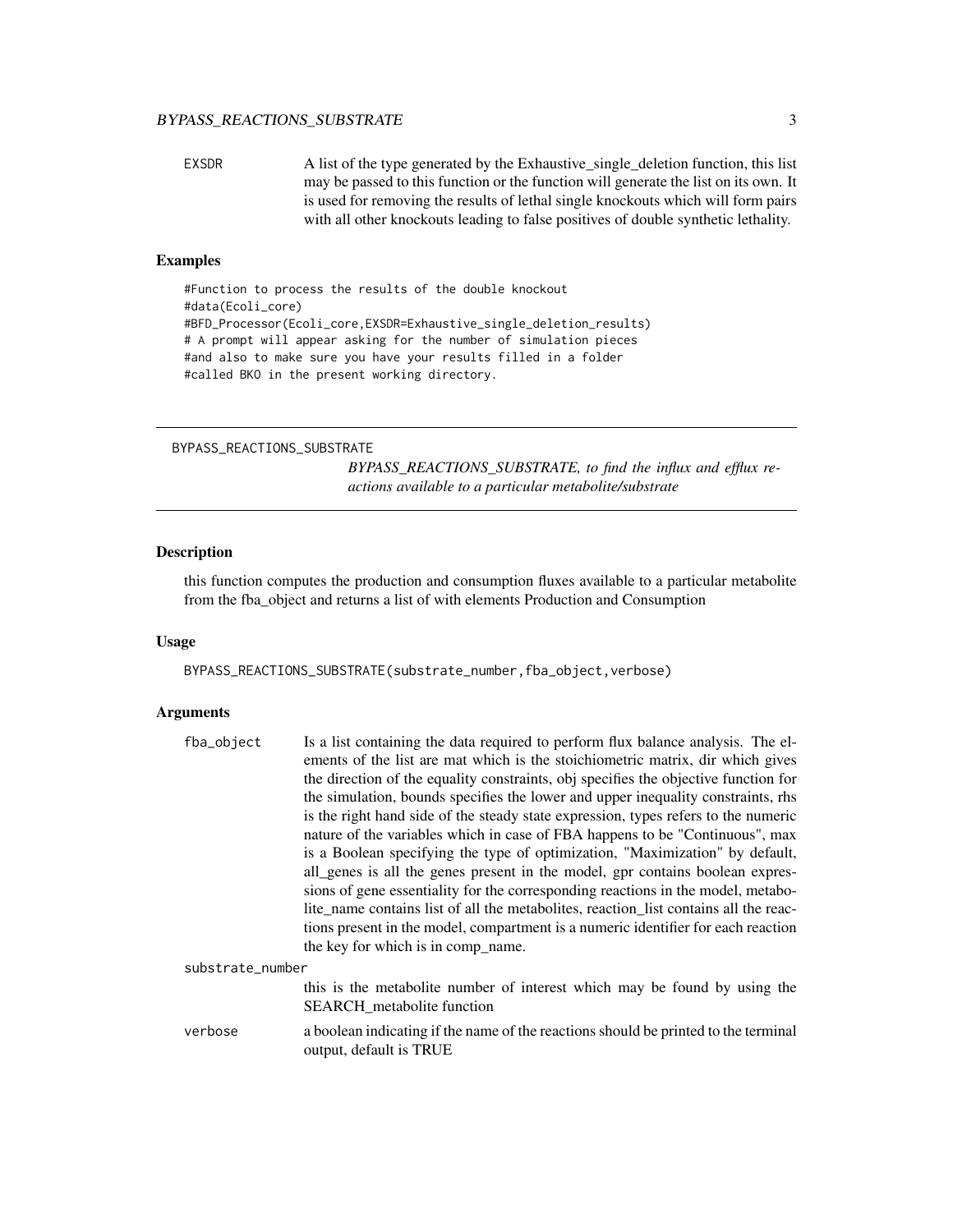#### <span id="page-2-0"></span>BYPASS\_REACTIONS\_SUBSTRATE 3

EXSDR A list of the type generated by the Exhaustive\_single\_deletion function, this list may be passed to this function or the function will generate the list on its own. It is used for removing the results of lethal single knockouts which will form pairs with all other knockouts leading to false positives of double synthetic lethality.

#### Examples

```
#Function to process the results of the double knockout
#data(Ecoli_core)
#BFD_Processor(Ecoli_core,EXSDR=Exhaustive_single_deletion_results)
# A prompt will appear asking for the number of simulation pieces
#and also to make sure you have your results filled in a folder
#called BKO in the present working directory.
```

```
BYPASS_REACTIONS_SUBSTRATE
```
*BYPASS\_REACTIONS\_SUBSTRATE, to find the influx and efflux reactions available to a particular metabolite/substrate*

#### Description

this function computes the production and consumption fluxes available to a particular metabolite from the fba\_object and returns a list of with elements Production and Consumption

#### Usage

BYPASS\_REACTIONS\_SUBSTRATE(substrate\_number,fba\_object,verbose)

output, default is TRUE

#### Arguments

| fba_object       | Is a list containing the data required to perform flux balance analysis. The el-                                                                                         |
|------------------|--------------------------------------------------------------------------------------------------------------------------------------------------------------------------|
|                  | ements of the list are mat which is the stoichiometric matrix, dir which gives<br>the direction of the equality constraints, obj specifies the objective function for    |
|                  | the simulation, bounds specifies the lower and upper inequality constraints, rhs                                                                                         |
|                  | is the right hand side of the steady state expression, types refers to the numeric<br>nature of the variables which in case of FBA happens to be "Continuous", max       |
|                  | is a Boolean specifying the type of optimization, "Maximization" by default,<br>all_genes is all the genes present in the model, gpr contains boolean expres-            |
|                  | sions of gene essentiality for the corresponding reactions in the model, metabo-<br>lite_name contains list of all the metabolites, reaction_list contains all the reac- |
|                  | tions present in the model, compartment is a numeric identifier for each reaction<br>the key for which is in comp_name.                                                  |
| substrate_number |                                                                                                                                                                          |
|                  | this is the metabolite number of interest which may be found by using the<br>SEARCH_metabolite function                                                                  |
| verbose          | a boolean indicating if the name of the reactions should be printed to the terminal                                                                                      |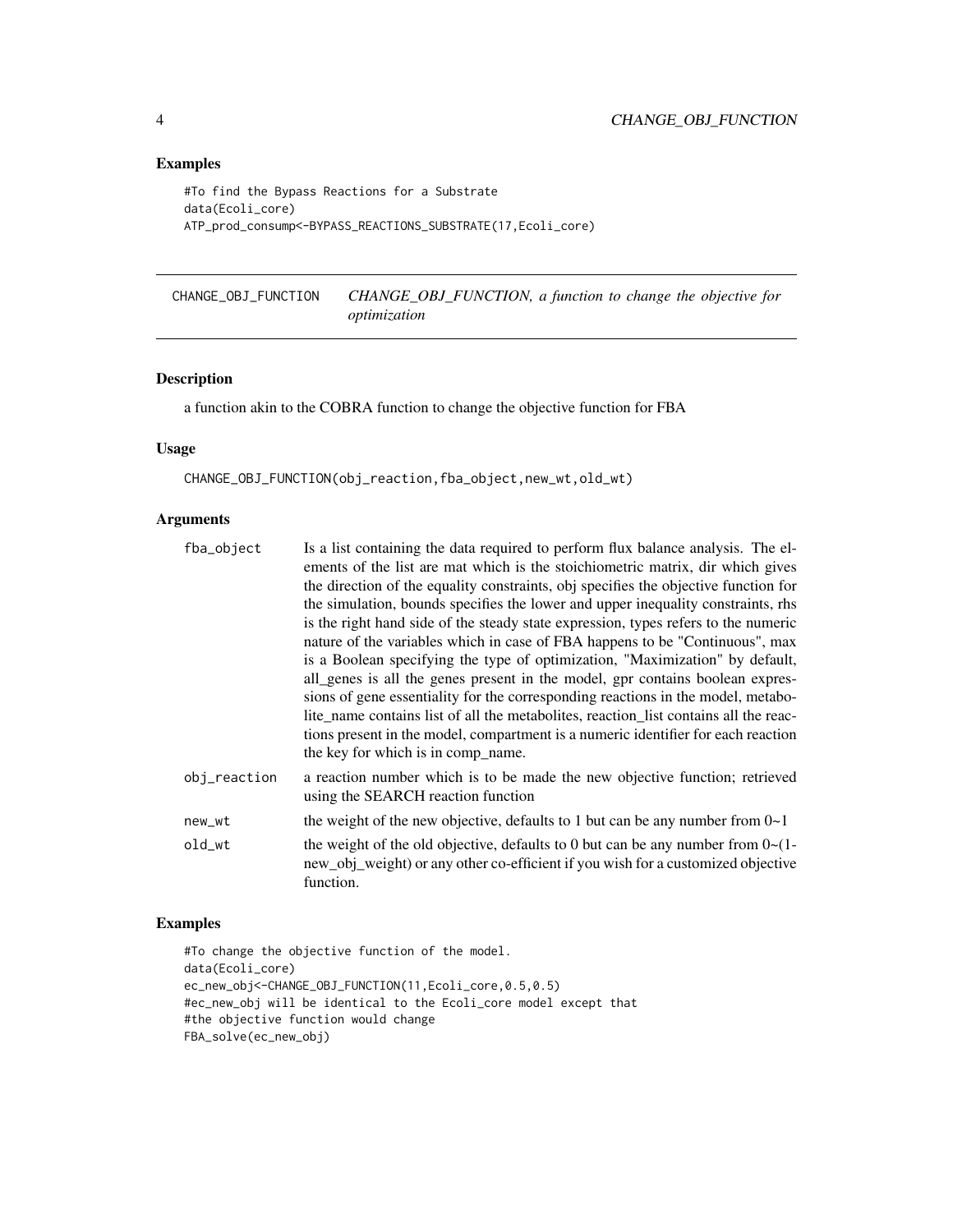#### Examples

```
#To find the Bypass Reactions for a Substrate
data(Ecoli_core)
ATP_prod_consump<-BYPASS_REACTIONS_SUBSTRATE(17,Ecoli_core)
```
CHANGE\_OBJ\_FUNCTION *CHANGE\_OBJ\_FUNCTION, a function to change the objective for optimization*

#### Description

a function akin to the COBRA function to change the objective function for FBA

#### Usage

CHANGE\_OBJ\_FUNCTION(obj\_reaction,fba\_object,new\_wt,old\_wt)

#### Arguments

| fba_object   | Is a list containing the data required to perform flux balance analysis. The el-<br>ements of the list are mat which is the stoichiometric matrix, dir which gives<br>the direction of the equality constraints, obj specifies the objective function for<br>the simulation, bounds specifies the lower and upper inequality constraints, rhs<br>is the right hand side of the steady state expression, types refers to the numeric                                                                                                                  |
|--------------|------------------------------------------------------------------------------------------------------------------------------------------------------------------------------------------------------------------------------------------------------------------------------------------------------------------------------------------------------------------------------------------------------------------------------------------------------------------------------------------------------------------------------------------------------|
|              | nature of the variables which in case of FBA happens to be "Continuous", max<br>is a Boolean specifying the type of optimization, "Maximization" by default,<br>all_genes is all the genes present in the model, gpr contains boolean expres-<br>sions of gene essentiality for the corresponding reactions in the model, metabo-<br>lite_name contains list of all the metabolites, reaction_list contains all the reac-<br>tions present in the model, compartment is a numeric identifier for each reaction<br>the key for which is in comp_name. |
| obj_reaction | a reaction number which is to be made the new objective function; retrieved<br>using the SEARCH reaction function                                                                                                                                                                                                                                                                                                                                                                                                                                    |
| new_wt       | the weight of the new objective, defaults to 1 but can be any number from $0\nu$ -1                                                                                                                                                                                                                                                                                                                                                                                                                                                                  |
| old_wt       | the weight of the old objective, defaults to 0 but can be any number from $0 \sim (1 -$<br>new_obj_weight) or any other co-efficient if you wish for a customized objective<br>function.                                                                                                                                                                                                                                                                                                                                                             |

#### Examples

#To change the objective function of the model. data(Ecoli\_core) ec\_new\_obj<-CHANGE\_OBJ\_FUNCTION(11,Ecoli\_core,0.5,0.5) #ec\_new\_obj will be identical to the Ecoli\_core model except that #the objective function would change FBA\_solve(ec\_new\_obj)

<span id="page-3-0"></span>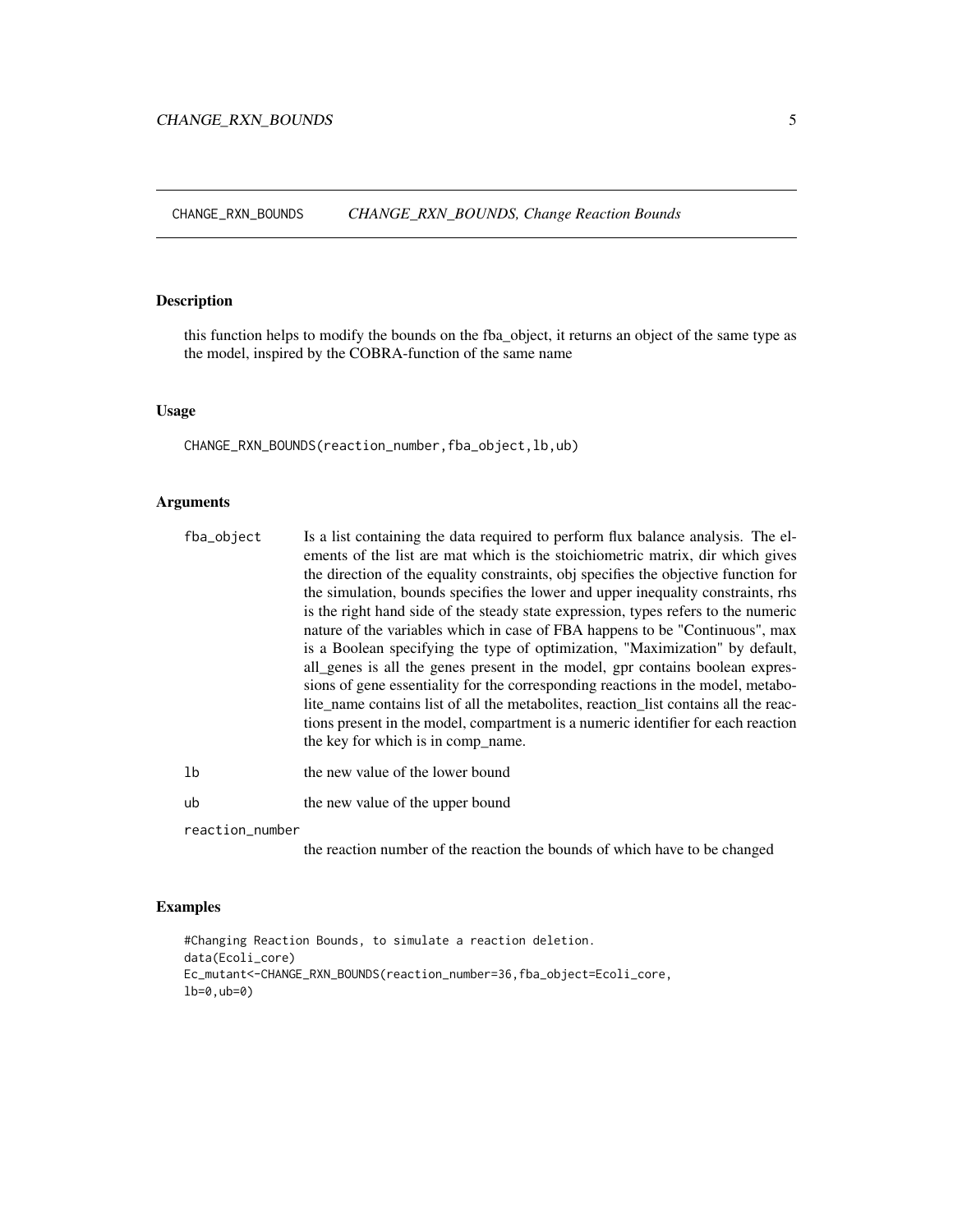<span id="page-4-0"></span>CHANGE\_RXN\_BOUNDS *CHANGE\_RXN\_BOUNDS, Change Reaction Bounds*

#### Description

this function helps to modify the bounds on the fba\_object, it returns an object of the same type as the model, inspired by the COBRA-function of the same name

#### Usage

CHANGE\_RXN\_BOUNDS(reaction\_number,fba\_object,lb,ub)

#### Arguments

| fba_object      | Is a list containing the data required to perform flux balance analysis. The el-<br>ements of the list are mat which is the stoichiometric matrix, dir which gives<br>the direction of the equality constraints, obj specifies the objective function for<br>the simulation, bounds specifies the lower and upper inequality constraints, rhs<br>is the right hand side of the steady state expression, types refers to the numeric                                                                                                                   |
|-----------------|-------------------------------------------------------------------------------------------------------------------------------------------------------------------------------------------------------------------------------------------------------------------------------------------------------------------------------------------------------------------------------------------------------------------------------------------------------------------------------------------------------------------------------------------------------|
|                 | nature of the variables which in case of FBA happens to be "Continuous", max<br>is a Boolean specifying the type of optimization, "Maximization" by default,<br>all_genes is all the genes present in the model, gpr contains boolean expres-<br>sions of gene essentiality for the corresponding reactions in the model, metabo-<br>lite name contains list of all the metabolities, reaction list contains all the reac-<br>tions present in the model, compartment is a numeric identifier for each reaction<br>the key for which is in comp_name. |
| 1b              | the new value of the lower bound                                                                                                                                                                                                                                                                                                                                                                                                                                                                                                                      |
| ub              | the new value of the upper bound                                                                                                                                                                                                                                                                                                                                                                                                                                                                                                                      |
| reaction_number |                                                                                                                                                                                                                                                                                                                                                                                                                                                                                                                                                       |

the reaction number of the reaction the bounds of which have to be changed

#### Examples

```
#Changing Reaction Bounds, to simulate a reaction deletion.
data(Ecoli_core)
Ec_mutant<-CHANGE_RXN_BOUNDS(reaction_number=36,fba_object=Ecoli_core,
lb=0,ub=0)
```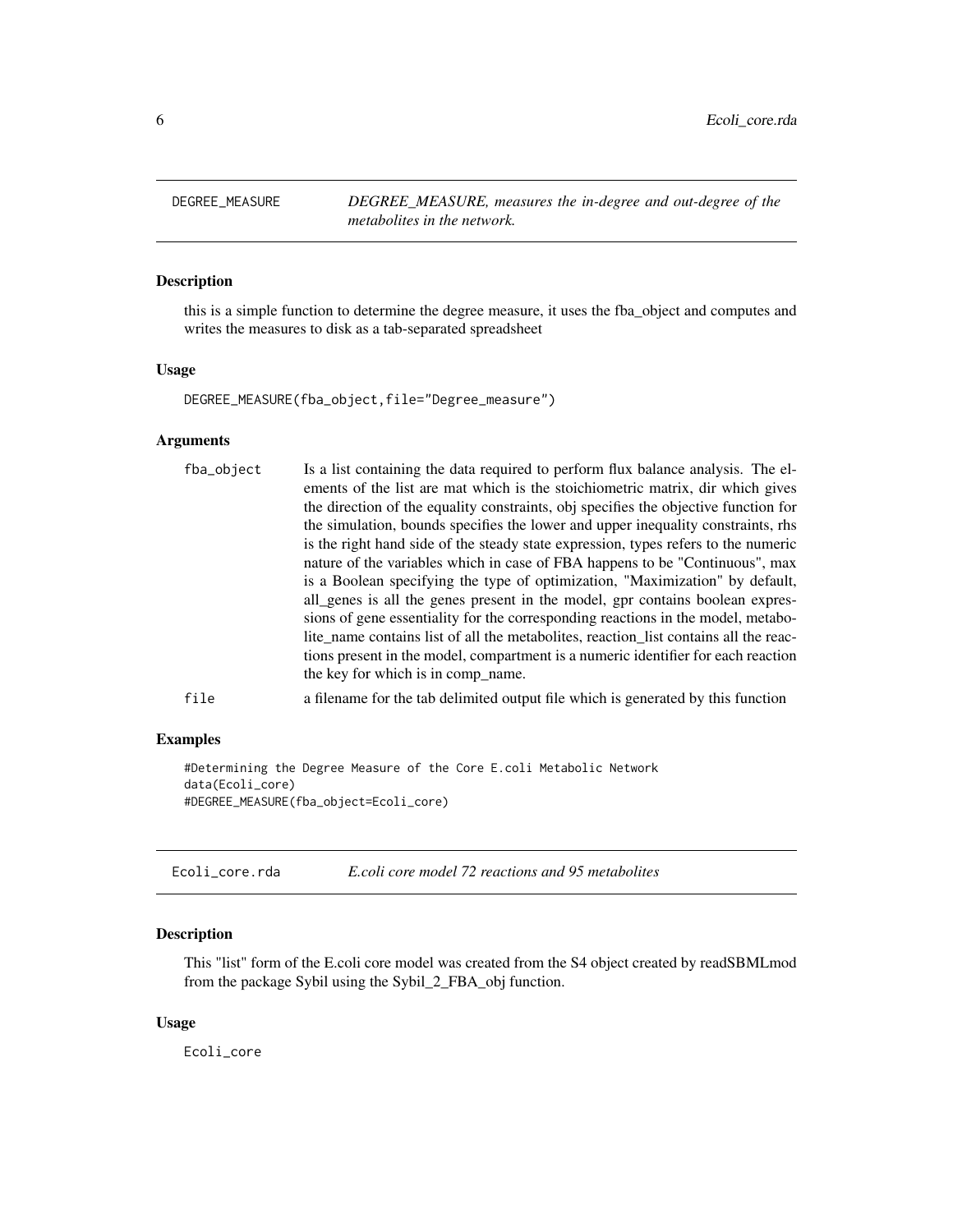<span id="page-5-0"></span>DEGREE\_MEASURE *DEGREE\_MEASURE, measures the in-degree and out-degree of the metabolites in the network.*

### Description

this is a simple function to determine the degree measure, it uses the fba\_object and computes and writes the measures to disk as a tab-separated spreadsheet

#### Usage

DEGREE\_MEASURE(fba\_object,file="Degree\_measure")

#### Arguments

| fba_object | Is a list containing the data required to perform flux balance analysis. The el-<br>ements of the list are mat which is the stoichiometric matrix, dir which gives<br>the direction of the equality constraints, obj specifies the objective function for<br>the simulation, bounds specifies the lower and upper inequality constraints, rhs<br>is the right hand side of the steady state expression, types refers to the numeric<br>nature of the variables which in case of FBA happens to be "Continuous", max<br>is a Boolean specifying the type of optimization, "Maximization" by default,<br>all_genes is all the genes present in the model, gpr contains boolean expres-<br>sions of gene essentiality for the corresponding reactions in the model, metabo-<br>lite_name contains list of all the metabolities, reaction_list contains all the reac-<br>tions present in the model, compartment is a numeric identifier for each reaction<br>the key for which is in comp name. |
|------------|----------------------------------------------------------------------------------------------------------------------------------------------------------------------------------------------------------------------------------------------------------------------------------------------------------------------------------------------------------------------------------------------------------------------------------------------------------------------------------------------------------------------------------------------------------------------------------------------------------------------------------------------------------------------------------------------------------------------------------------------------------------------------------------------------------------------------------------------------------------------------------------------------------------------------------------------------------------------------------------------|
| file       | a filename for the tab delimited output file which is generated by this function                                                                                                                                                                                                                                                                                                                                                                                                                                                                                                                                                                                                                                                                                                                                                                                                                                                                                                             |

#### Examples

```
#Determining the Degree Measure of the Core E.coli Metabolic Network
data(Ecoli_core)
#DEGREE_MEASURE(fba_object=Ecoli_core)
```

| Ecoli core.rda | E.coli core model 72 reactions and 95 metabolites |
|----------------|---------------------------------------------------|
|----------------|---------------------------------------------------|

#### Description

This "list" form of the E.coli core model was created from the S4 object created by readSBMLmod from the package Sybil using the Sybil\_2\_FBA\_obj function.

#### Usage

Ecoli\_core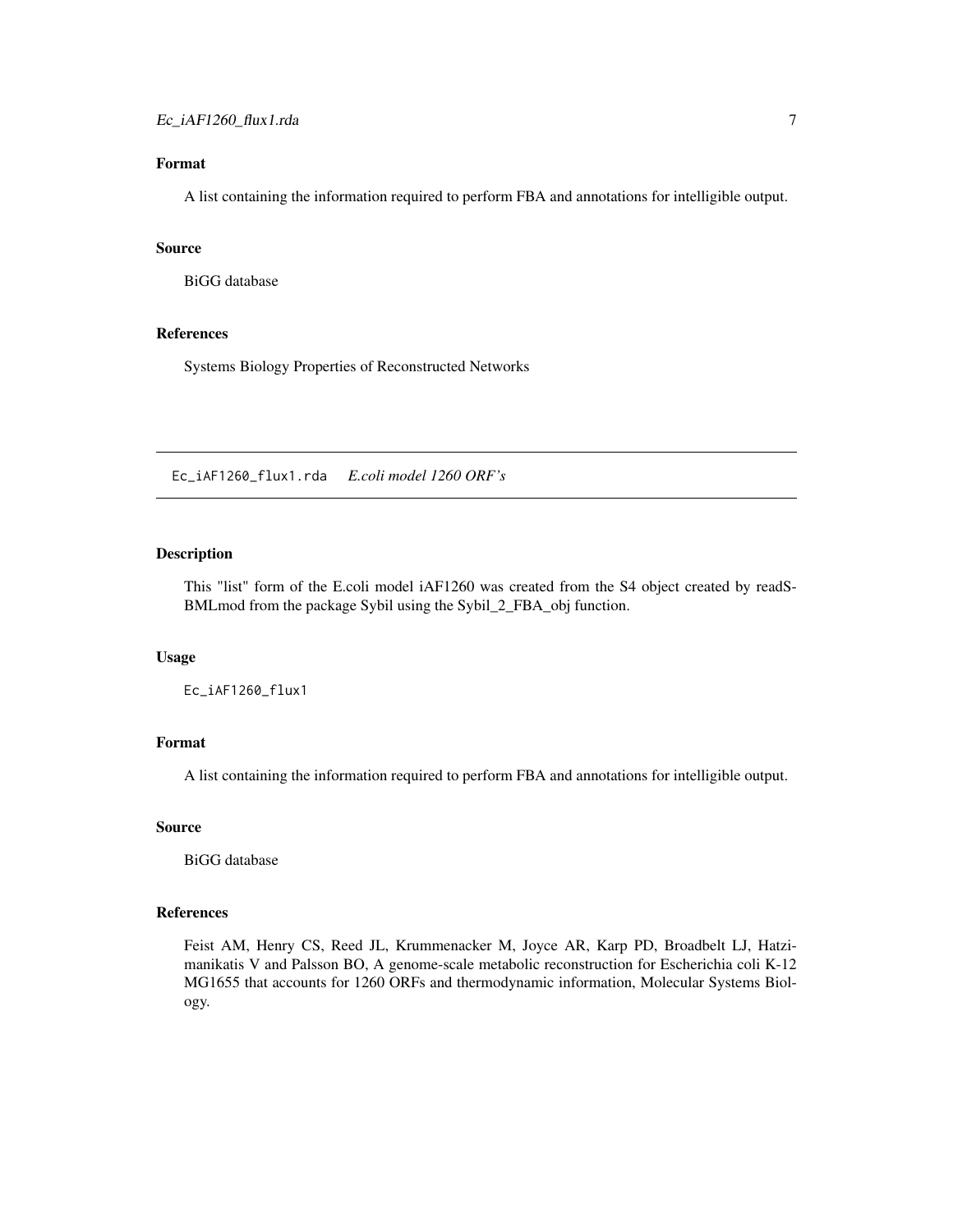#### <span id="page-6-0"></span>Format

A list containing the information required to perform FBA and annotations for intelligible output.

#### Source

BiGG database

#### References

Systems Biology Properties of Reconstructed Networks

Ec\_iAF1260\_flux1.rda *E.coli model 1260 ORF's*

#### Description

This "list" form of the E.coli model iAF1260 was created from the S4 object created by readS-BMLmod from the package Sybil using the Sybil\_2\_FBA\_obj function.

#### Usage

Ec\_iAF1260\_flux1

#### Format

A list containing the information required to perform FBA and annotations for intelligible output.

#### Source

BiGG database

#### References

Feist AM, Henry CS, Reed JL, Krummenacker M, Joyce AR, Karp PD, Broadbelt LJ, Hatzimanikatis V and Palsson BO, A genome-scale metabolic reconstruction for Escherichia coli K-12 MG1655 that accounts for 1260 ORFs and thermodynamic information, Molecular Systems Biology.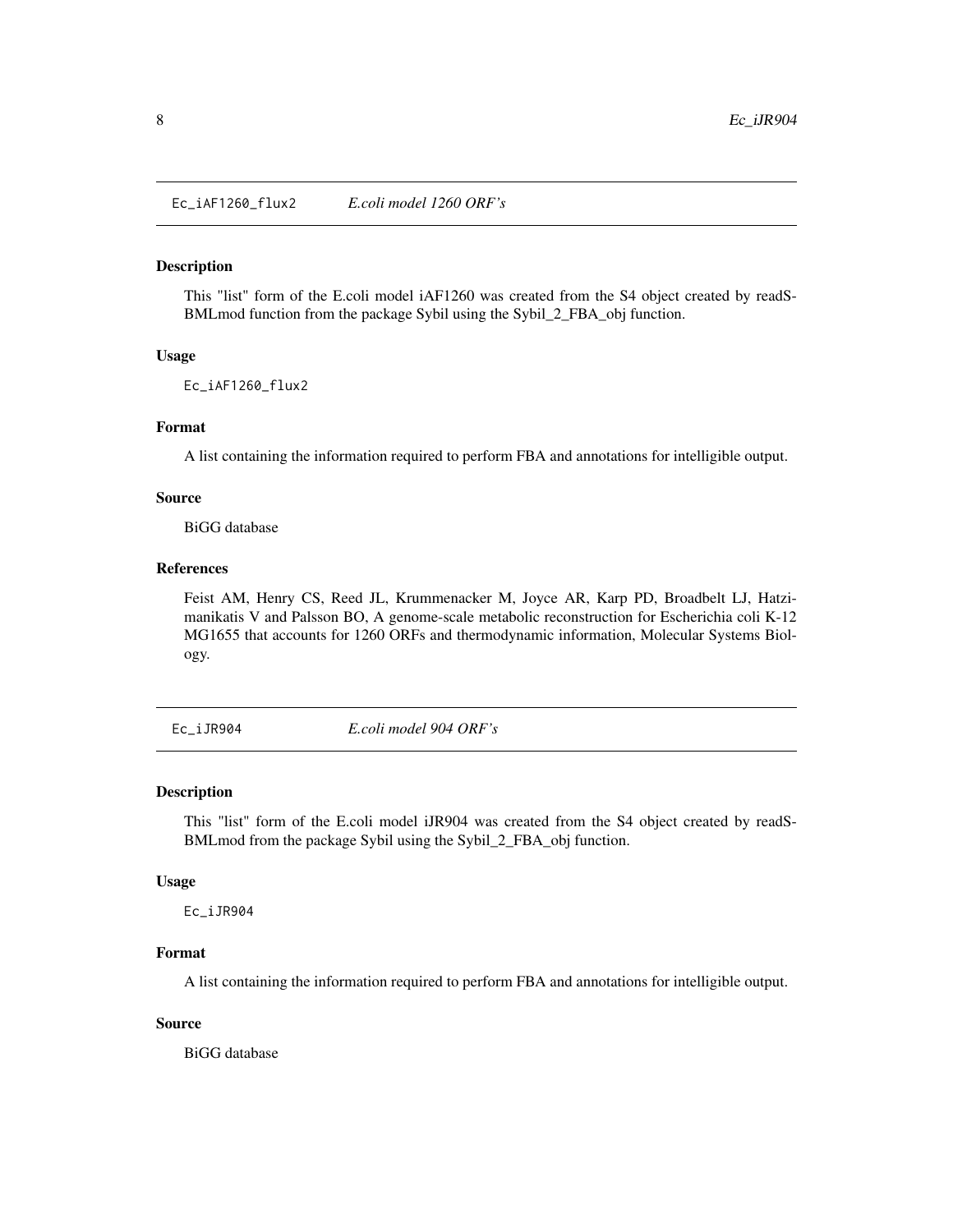<span id="page-7-0"></span>Ec\_iAF1260\_flux2 *E.coli model 1260 ORF's*

#### Description

This "list" form of the E.coli model iAF1260 was created from the S4 object created by readS-BMLmod function from the package Sybil using the Sybil\_2\_FBA\_obj function.

#### Usage

Ec\_iAF1260\_flux2

#### Format

A list containing the information required to perform FBA and annotations for intelligible output.

#### Source

BiGG database

#### References

Feist AM, Henry CS, Reed JL, Krummenacker M, Joyce AR, Karp PD, Broadbelt LJ, Hatzimanikatis V and Palsson BO, A genome-scale metabolic reconstruction for Escherichia coli K-12 MG1655 that accounts for 1260 ORFs and thermodynamic information, Molecular Systems Biology.

Ec\_iJR904 *E.coli model 904 ORF's*

#### Description

This "list" form of the E.coli model iJR904 was created from the S4 object created by readS-BMLmod from the package Sybil using the Sybil\_2\_FBA\_obj function.

#### Usage

Ec\_iJR904

#### Format

A list containing the information required to perform FBA and annotations for intelligible output.

#### Source

BiGG database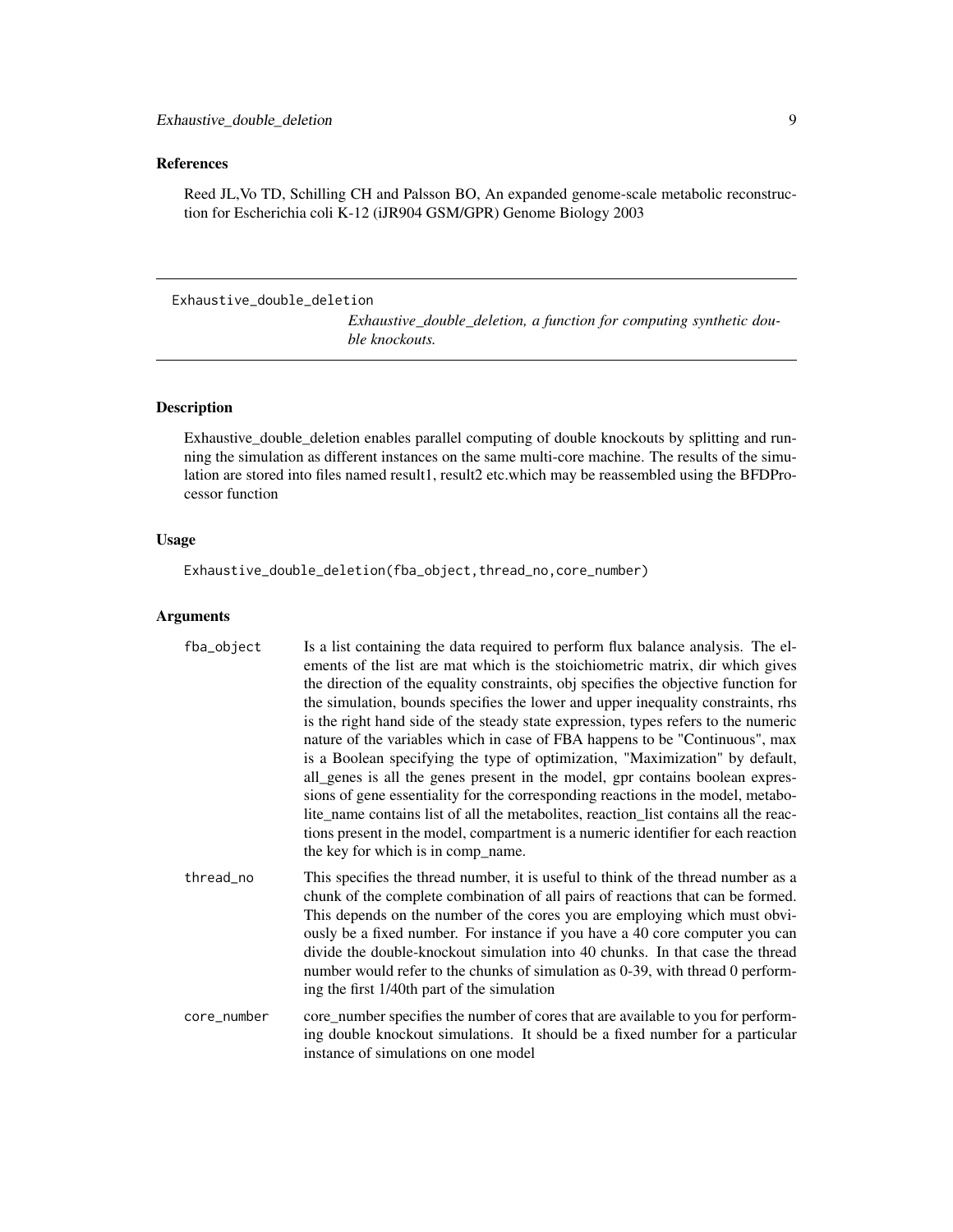#### <span id="page-8-0"></span>References

Reed JL,Vo TD, Schilling CH and Palsson BO, An expanded genome-scale metabolic reconstruction for Escherichia coli K-12 (iJR904 GSM/GPR) Genome Biology 2003

```
Exhaustive_double_deletion
```
*Exhaustive\_double\_deletion, a function for computing synthetic double knockouts.*

#### Description

Exhaustive\_double\_deletion enables parallel computing of double knockouts by splitting and running the simulation as different instances on the same multi-core machine. The results of the simulation are stored into files named result1, result2 etc.which may be reassembled using the BFDProcessor function

#### Usage

Exhaustive\_double\_deletion(fba\_object,thread\_no,core\_number)

#### Arguments

| fba_object  | Is a list containing the data required to perform flux balance analysis. The el-<br>ements of the list are mat which is the stoichiometric matrix, dir which gives<br>the direction of the equality constraints, obj specifies the objective function for<br>the simulation, bounds specifies the lower and upper inequality constraints, rhs<br>is the right hand side of the steady state expression, types refers to the numeric<br>nature of the variables which in case of FBA happens to be "Continuous", max<br>is a Boolean specifying the type of optimization, "Maximization" by default,<br>all_genes is all the genes present in the model, gpr contains boolean expres-<br>sions of gene essentiality for the corresponding reactions in the model, metabo-<br>lite_name contains list of all the metabolites, reaction_list contains all the reac-<br>tions present in the model, compartment is a numeric identifier for each reaction<br>the key for which is in comp_name. |
|-------------|---------------------------------------------------------------------------------------------------------------------------------------------------------------------------------------------------------------------------------------------------------------------------------------------------------------------------------------------------------------------------------------------------------------------------------------------------------------------------------------------------------------------------------------------------------------------------------------------------------------------------------------------------------------------------------------------------------------------------------------------------------------------------------------------------------------------------------------------------------------------------------------------------------------------------------------------------------------------------------------------|
| thread_no   | This specifies the thread number, it is useful to think of the thread number as a<br>chunk of the complete combination of all pairs of reactions that can be formed.<br>This depends on the number of the cores you are employing which must obvi-<br>ously be a fixed number. For instance if you have a 40 core computer you can<br>divide the double-knockout simulation into 40 chunks. In that case the thread<br>number would refer to the chunks of simulation as 0-39, with thread 0 perform-<br>ing the first 1/40th part of the simulation                                                                                                                                                                                                                                                                                                                                                                                                                                        |
| core_number | core_number specifies the number of cores that are available to you for perform-<br>ing double knockout simulations. It should be a fixed number for a particular<br>instance of simulations on one model                                                                                                                                                                                                                                                                                                                                                                                                                                                                                                                                                                                                                                                                                                                                                                                   |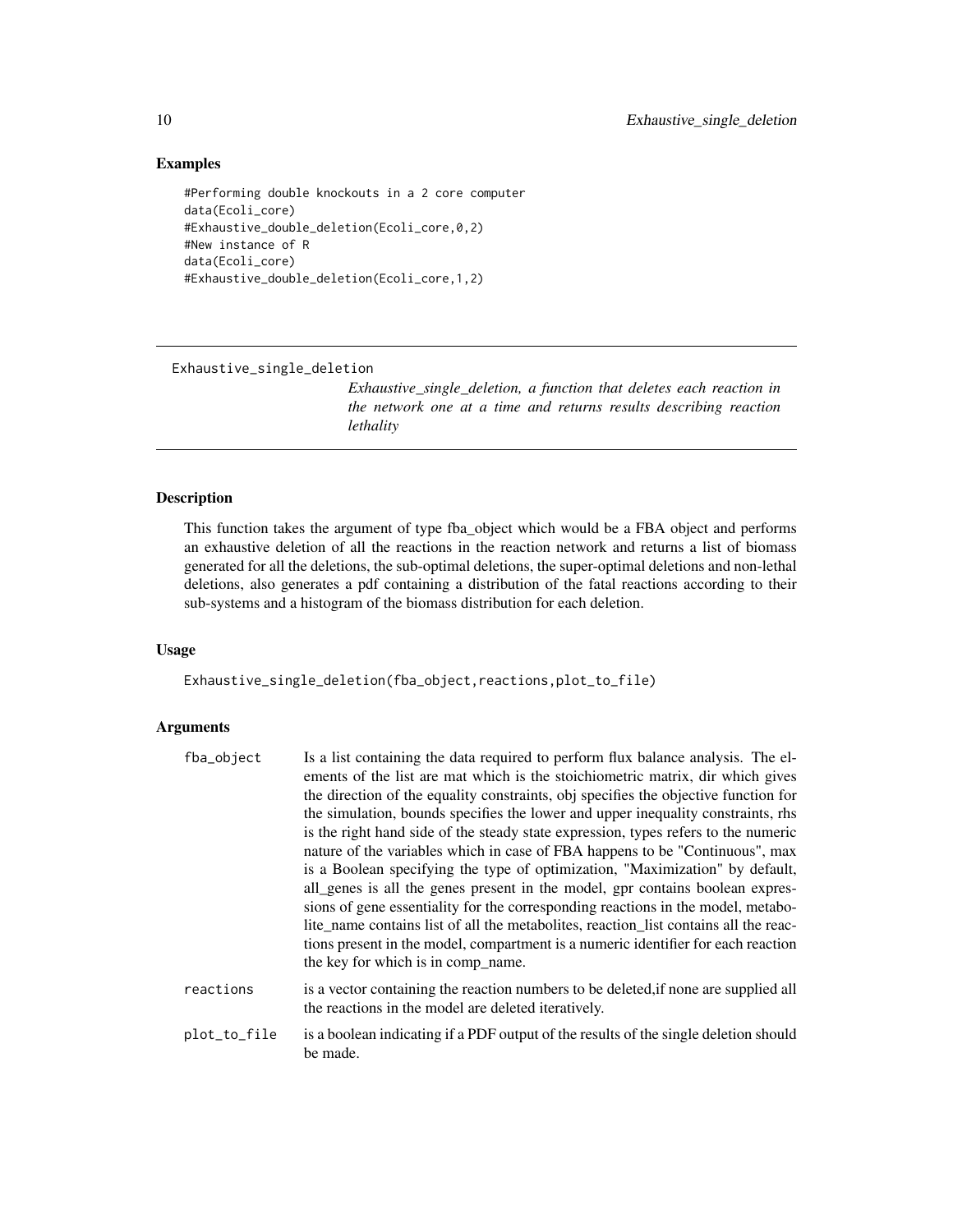#### <span id="page-9-0"></span>Examples

```
#Performing double knockouts in a 2 core computer
data(Ecoli_core)
#Exhaustive_double_deletion(Ecoli_core,0,2)
#New instance of R
data(Ecoli_core)
#Exhaustive_double_deletion(Ecoli_core,1,2)
```
Exhaustive\_single\_deletion

*Exhaustive\_single\_deletion, a function that deletes each reaction in the network one at a time and returns results describing reaction lethality*

#### Description

This function takes the argument of type fba\_object which would be a FBA object and performs an exhaustive deletion of all the reactions in the reaction network and returns a list of biomass generated for all the deletions, the sub-optimal deletions, the super-optimal deletions and non-lethal deletions, also generates a pdf containing a distribution of the fatal reactions according to their sub-systems and a histogram of the biomass distribution for each deletion.

#### Usage

Exhaustive\_single\_deletion(fba\_object,reactions,plot\_to\_file)

be made.

#### Arguments

| fba_object   | Is a list containing the data required to perform flux balance analysis. The el-<br>ements of the list are mat which is the stoichiometric matrix, dir which gives<br>the direction of the equality constraints, obj specifies the objective function for<br>the simulation, bounds specifies the lower and upper inequality constraints, rhs<br>is the right hand side of the steady state expression, types refers to the numeric<br>nature of the variables which in case of FBA happens to be "Continuous", max<br>is a Boolean specifying the type of optimization, "Maximization" by default,<br>all_genes is all the genes present in the model, gpr contains boolean expres- |
|--------------|--------------------------------------------------------------------------------------------------------------------------------------------------------------------------------------------------------------------------------------------------------------------------------------------------------------------------------------------------------------------------------------------------------------------------------------------------------------------------------------------------------------------------------------------------------------------------------------------------------------------------------------------------------------------------------------|
|              | sions of gene essentiality for the corresponding reactions in the model, metabo-<br>lite_name contains list of all the metabolities, reaction_list contains all the reac-<br>tions present in the model, compartment is a numeric identifier for each reaction<br>the key for which is in comp_name.                                                                                                                                                                                                                                                                                                                                                                                 |
| reactions    | is a vector containing the reaction numbers to be deleted, if none are supplied all<br>the reactions in the model are deleted iteratively.                                                                                                                                                                                                                                                                                                                                                                                                                                                                                                                                           |
| plot_to_file | is a boolean indicating if a PDF output of the results of the single deletion should                                                                                                                                                                                                                                                                                                                                                                                                                                                                                                                                                                                                 |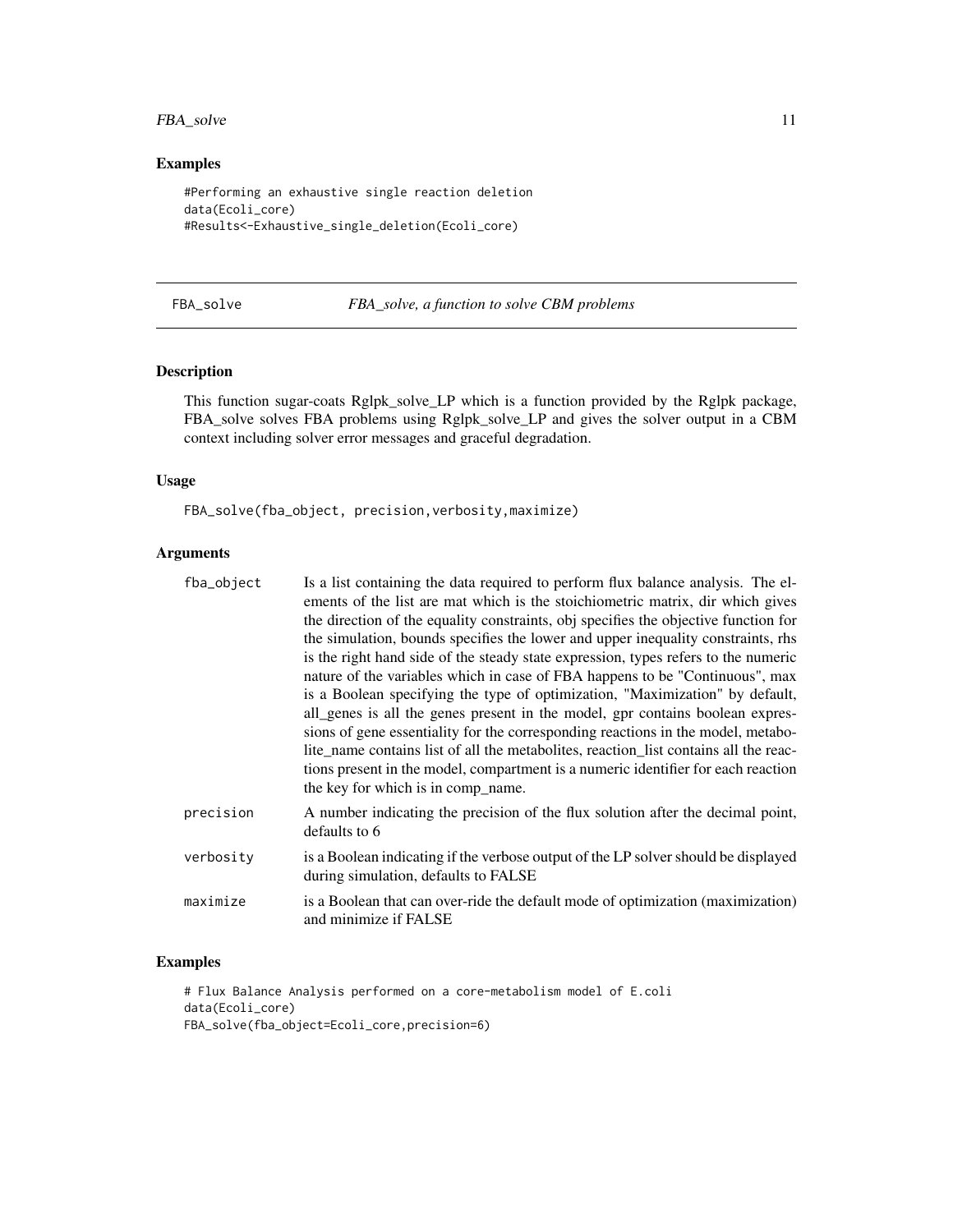#### <span id="page-10-0"></span>FBA\_solve 11

#### Examples

```
#Performing an exhaustive single reaction deletion
data(Ecoli_core)
#Results<-Exhaustive_single_deletion(Ecoli_core)
```
FBA\_solve *FBA\_solve, a function to solve CBM problems*

#### Description

This function sugar-coats Rglpk\_solve\_LP which is a function provided by the Rglpk package, FBA\_solve solves FBA problems using Rglpk\_solve\_LP and gives the solver output in a CBM context including solver error messages and graceful degradation.

#### Usage

FBA\_solve(fba\_object, precision,verbosity,maximize)

#### Arguments

| fba_object | Is a list containing the data required to perform flux balance analysis. The el-<br>ements of the list are mat which is the stoichiometric matrix, dir which gives<br>the direction of the equality constraints, obj specifies the objective function for<br>the simulation, bounds specifies the lower and upper inequality constraints, rhs<br>is the right hand side of the steady state expression, types refers to the numeric<br>nature of the variables which in case of FBA happens to be "Continuous", max<br>is a Boolean specifying the type of optimization, "Maximization" by default,<br>all_genes is all the genes present in the model, gpr contains boolean expres- |
|------------|--------------------------------------------------------------------------------------------------------------------------------------------------------------------------------------------------------------------------------------------------------------------------------------------------------------------------------------------------------------------------------------------------------------------------------------------------------------------------------------------------------------------------------------------------------------------------------------------------------------------------------------------------------------------------------------|
|            | sions of gene essentiality for the corresponding reactions in the model, metabo-<br>lite_name contains list of all the metabolites, reaction_list contains all the reac-<br>tions present in the model, compartment is a numeric identifier for each reaction<br>the key for which is in comp_name.                                                                                                                                                                                                                                                                                                                                                                                  |
| precision  | A number indicating the precision of the flux solution after the decimal point,<br>defaults to 6                                                                                                                                                                                                                                                                                                                                                                                                                                                                                                                                                                                     |
| verbositv  | is a Boolean indicating if the verbose output of the LP solver should be displayed<br>during simulation, defaults to FALSE                                                                                                                                                                                                                                                                                                                                                                                                                                                                                                                                                           |
| maximize   | is a Boolean that can over-ride the default mode of optimization (maximization)<br>and minimize if FALSE                                                                                                                                                                                                                                                                                                                                                                                                                                                                                                                                                                             |

#### Examples

# Flux Balance Analysis performed on a core-metabolism model of E.coli data(Ecoli\_core) FBA\_solve(fba\_object=Ecoli\_core,precision=6)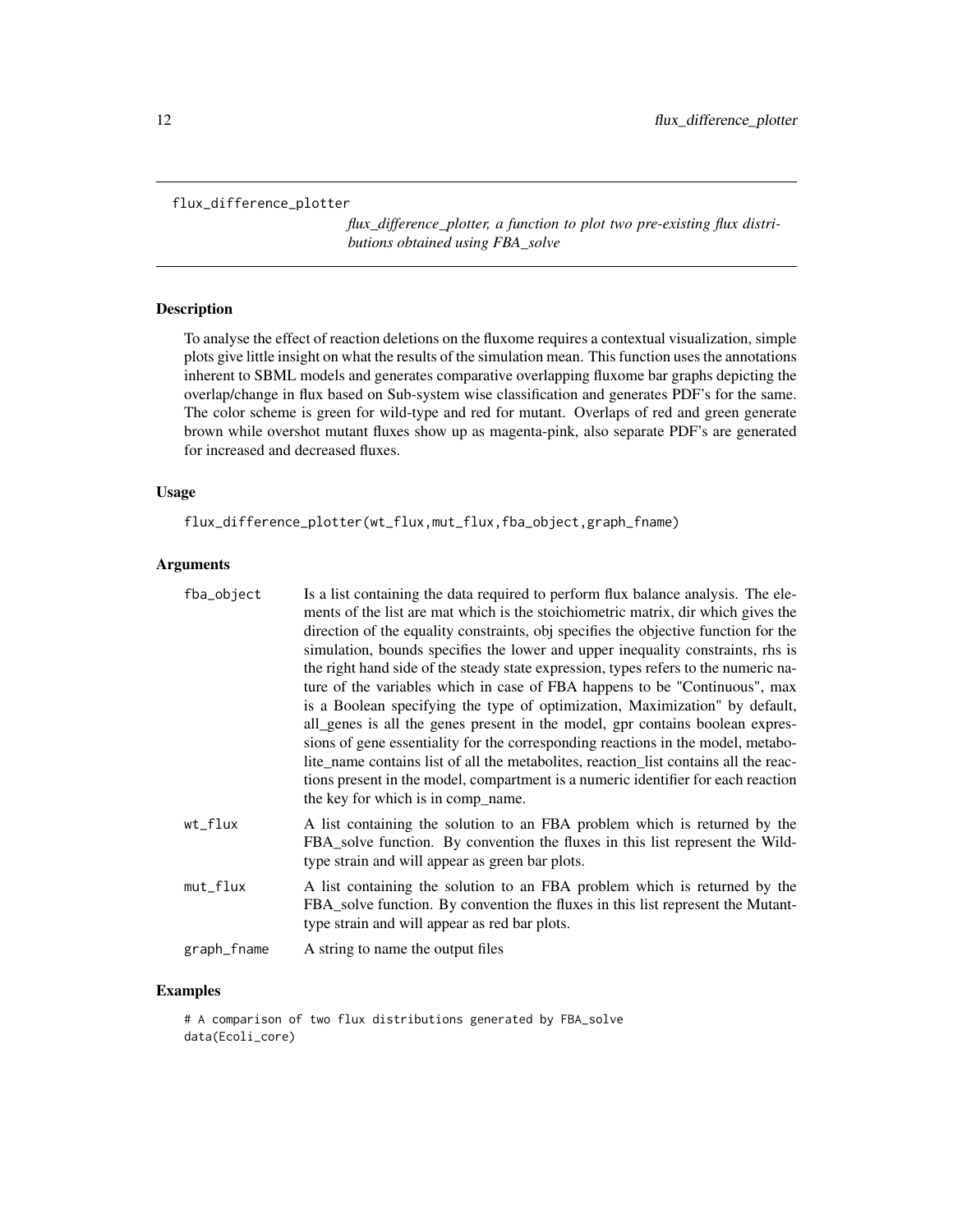```
flux_difference_plotter
```
*flux\_difference\_plotter, a function to plot two pre-existing flux distributions obtained using FBA\_solve*

#### Description

To analyse the effect of reaction deletions on the fluxome requires a contextual visualization, simple plots give little insight on what the results of the simulation mean. This function uses the annotations inherent to SBML models and generates comparative overlapping fluxome bar graphs depicting the overlap/change in flux based on Sub-system wise classification and generates PDF's for the same. The color scheme is green for wild-type and red for mutant. Overlaps of red and green generate brown while overshot mutant fluxes show up as magenta-pink, also separate PDF's are generated for increased and decreased fluxes.

#### Usage

flux\_difference\_plotter(wt\_flux,mut\_flux,fba\_object,graph\_fname)

### Arguments

| fba_object  | Is a list containing the data required to perform flux balance analysis. The ele-<br>ments of the list are mat which is the stoichiometric matrix, dir which gives the<br>direction of the equality constraints, obj specifies the objective function for the<br>simulation, bounds specifies the lower and upper inequality constraints, rhs is<br>the right hand side of the steady state expression, types refers to the numeric na-<br>ture of the variables which in case of FBA happens to be "Continuous", max<br>is a Boolean specifying the type of optimization, Maximization" by default,<br>all_genes is all the genes present in the model, gpr contains boolean expres-<br>sions of gene essentiality for the corresponding reactions in the model, metabo-<br>lite_name contains list of all the metabolites, reaction_list contains all the reac-<br>tions present in the model, compartment is a numeric identifier for each reaction<br>the key for which is in comp_name. |
|-------------|----------------------------------------------------------------------------------------------------------------------------------------------------------------------------------------------------------------------------------------------------------------------------------------------------------------------------------------------------------------------------------------------------------------------------------------------------------------------------------------------------------------------------------------------------------------------------------------------------------------------------------------------------------------------------------------------------------------------------------------------------------------------------------------------------------------------------------------------------------------------------------------------------------------------------------------------------------------------------------------------|
| wt_flux     | A list containing the solution to an FBA problem which is returned by the<br>FBA_solve function. By convention the fluxes in this list represent the Wild-<br>type strain and will appear as green bar plots.                                                                                                                                                                                                                                                                                                                                                                                                                                                                                                                                                                                                                                                                                                                                                                                |
| mut_flux    | A list containing the solution to an FBA problem which is returned by the<br>FBA_solve function. By convention the fluxes in this list represent the Mutant-<br>type strain and will appear as red bar plots.                                                                                                                                                                                                                                                                                                                                                                                                                                                                                                                                                                                                                                                                                                                                                                                |
| graph_fname | A string to name the output files                                                                                                                                                                                                                                                                                                                                                                                                                                                                                                                                                                                                                                                                                                                                                                                                                                                                                                                                                            |

#### Examples

# A comparison of two flux distributions generated by FBA\_solve data(Ecoli\_core)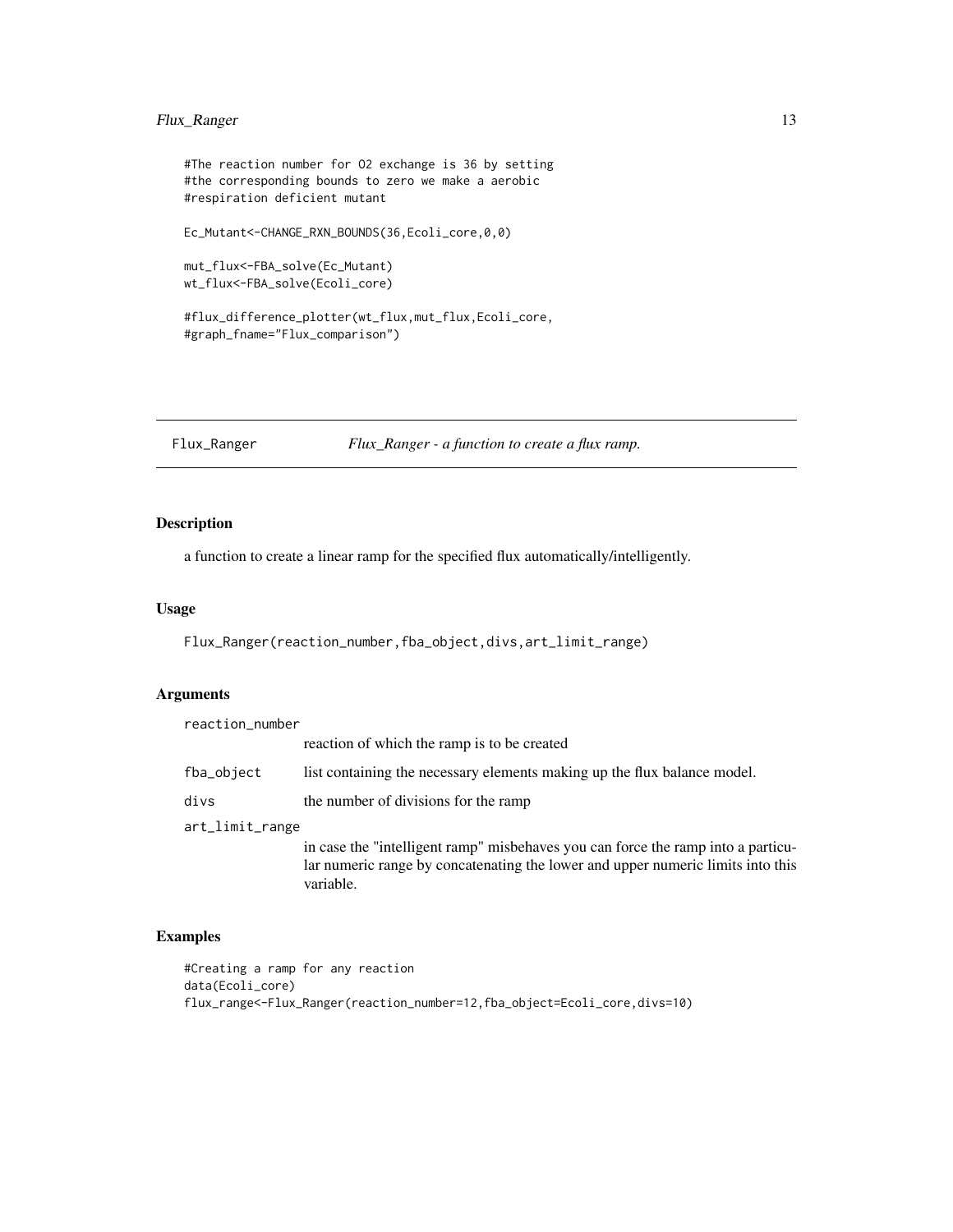#### <span id="page-12-0"></span>Flux\_Ranger 13

```
#The reaction number for O2 exchange is 36 by setting
#the corresponding bounds to zero we make a aerobic
#respiration deficient mutant
Ec_Mutant<-CHANGE_RXN_BOUNDS(36,Ecoli_core,0,0)
mut_flux<-FBA_solve(Ec_Mutant)
wt_flux<-FBA_solve(Ecoli_core)
```
#flux\_difference\_plotter(wt\_flux,mut\_flux,Ecoli\_core, #graph\_fname="Flux\_comparison")

Flux\_Ranger *Flux\_Ranger - a function to create a flux ramp.*

#### Description

a function to create a linear ramp for the specified flux automatically/intelligently.

#### Usage

Flux\_Ranger(reaction\_number,fba\_object,divs,art\_limit\_range)

#### Arguments

| reaction_number |                                                                                                                                                                                  |
|-----------------|----------------------------------------------------------------------------------------------------------------------------------------------------------------------------------|
|                 | reaction of which the ramp is to be created                                                                                                                                      |
| fba_object      | list containing the necessary elements making up the flux balance model.                                                                                                         |
| divs            | the number of divisions for the ramp                                                                                                                                             |
| art_limit_range |                                                                                                                                                                                  |
|                 | in case the "intelligent ramp" misbehaves you can force the ramp into a particu-<br>lar numeric range by concatenating the lower and upper numeric limits into this<br>variable. |

#### Examples

```
#Creating a ramp for any reaction
data(Ecoli_core)
flux_range<-Flux_Ranger(reaction_number=12,fba_object=Ecoli_core,divs=10)
```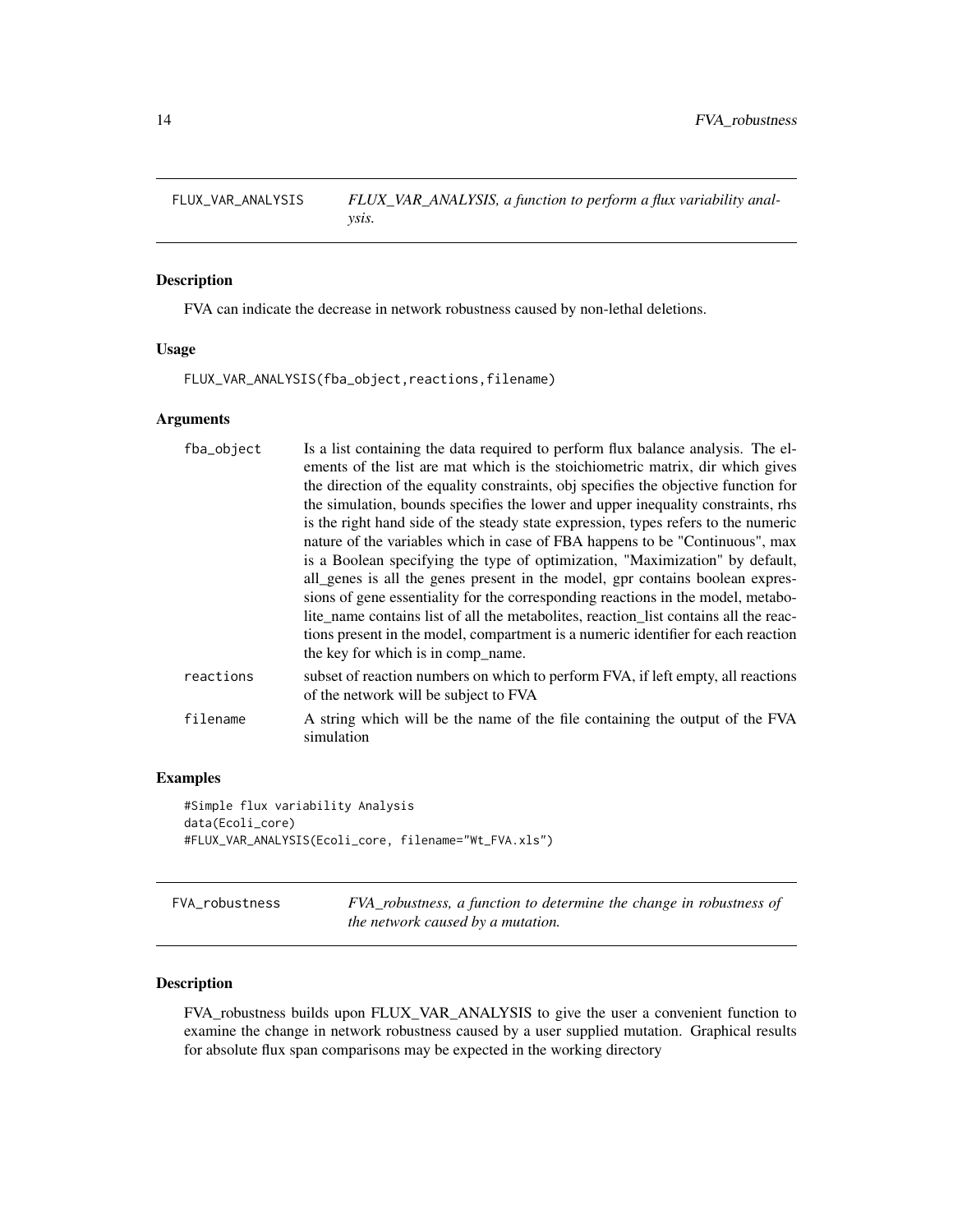<span id="page-13-0"></span>FLUX\_VAR\_ANALYSIS *FLUX\_VAR\_ANALYSIS, a function to perform a flux variability analysis.*

#### Description

FVA can indicate the decrease in network robustness caused by non-lethal deletions.

#### Usage

FLUX\_VAR\_ANALYSIS(fba\_object,reactions,filename)

#### Arguments

| fba_object | Is a list containing the data required to perform flux balance analysis. The el-<br>ements of the list are mat which is the stoichiometric matrix, dir which gives<br>the direction of the equality constraints, obj specifies the objective function for<br>the simulation, bounds specifies the lower and upper inequality constraints, rhs<br>is the right hand side of the steady state expression, types refers to the numeric<br>nature of the variables which in case of FBA happens to be "Continuous", max<br>is a Boolean specifying the type of optimization, "Maximization" by default,<br>all_genes is all the genes present in the model, gpr contains boolean expres-<br>sions of gene essentiality for the corresponding reactions in the model, metabo-<br>lite_name contains list of all the metabolites, reaction_list contains all the reac-<br>tions present in the model, compartment is a numeric identifier for each reaction<br>the key for which is in comp name. |
|------------|---------------------------------------------------------------------------------------------------------------------------------------------------------------------------------------------------------------------------------------------------------------------------------------------------------------------------------------------------------------------------------------------------------------------------------------------------------------------------------------------------------------------------------------------------------------------------------------------------------------------------------------------------------------------------------------------------------------------------------------------------------------------------------------------------------------------------------------------------------------------------------------------------------------------------------------------------------------------------------------------|
| reactions  | subset of reaction numbers on which to perform FVA, if left empty, all reactions<br>of the network will be subject to FVA                                                                                                                                                                                                                                                                                                                                                                                                                                                                                                                                                                                                                                                                                                                                                                                                                                                                   |
| filename   | A string which will be the name of the file containing the output of the FVA<br>simulation                                                                                                                                                                                                                                                                                                                                                                                                                                                                                                                                                                                                                                                                                                                                                                                                                                                                                                  |
|            |                                                                                                                                                                                                                                                                                                                                                                                                                                                                                                                                                                                                                                                                                                                                                                                                                                                                                                                                                                                             |

#### Examples

```
#Simple flux variability Analysis
data(Ecoli_core)
#FLUX_VAR_ANALYSIS(Ecoli_core, filename="Wt_FVA.xls")
```

| FVA robustness | FVA_robustness, a function to determine the change in robustness of |
|----------------|---------------------------------------------------------------------|
|                | the network caused by a mutation.                                   |

#### Description

FVA\_robustness builds upon FLUX\_VAR\_ANALYSIS to give the user a convenient function to examine the change in network robustness caused by a user supplied mutation. Graphical results for absolute flux span comparisons may be expected in the working directory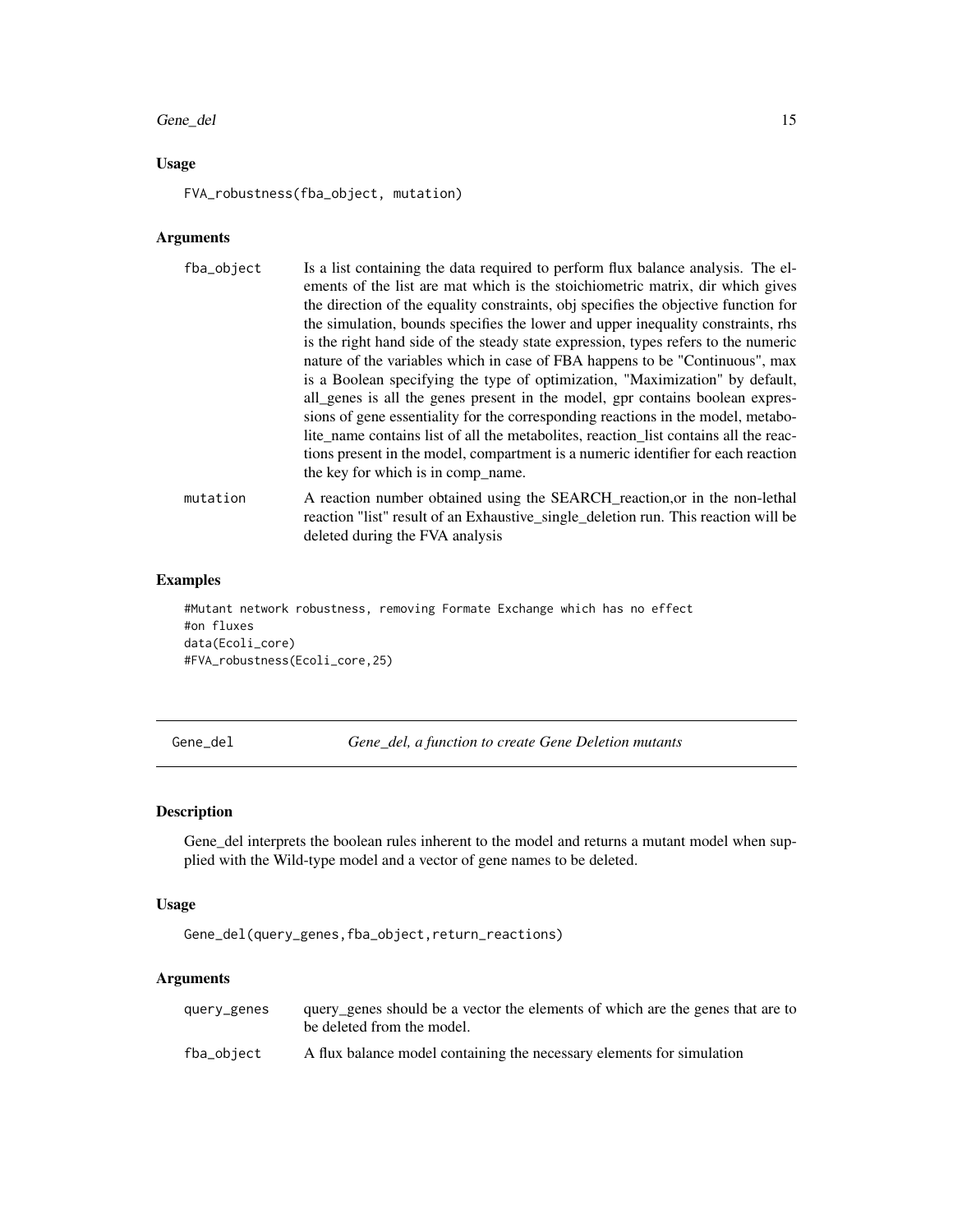#### <span id="page-14-0"></span>Gene\_del 15

#### Usage

FVA\_robustness(fba\_object, mutation)

#### Arguments

| fba_object | Is a list containing the data required to perform flux balance analysis. The el-<br>ements of the list are mat which is the stoichiometric matrix, dir which gives<br>the direction of the equality constraints, obj specifies the objective function for<br>the simulation, bounds specifies the lower and upper inequality constraints, rhs<br>is the right hand side of the steady state expression, types refers to the numeric<br>nature of the variables which in case of FBA happens to be "Continuous", max<br>is a Boolean specifying the type of optimization, "Maximization" by default,<br>all_genes is all the genes present in the model, gpr contains boolean expres-<br>sions of gene essentiality for the corresponding reactions in the model, metabo-<br>lite name contains list of all the metabolites, reaction list contains all the reac-<br>tions present in the model, compartment is a numeric identifier for each reaction<br>the key for which is in comp name. |
|------------|---------------------------------------------------------------------------------------------------------------------------------------------------------------------------------------------------------------------------------------------------------------------------------------------------------------------------------------------------------------------------------------------------------------------------------------------------------------------------------------------------------------------------------------------------------------------------------------------------------------------------------------------------------------------------------------------------------------------------------------------------------------------------------------------------------------------------------------------------------------------------------------------------------------------------------------------------------------------------------------------|
| mutation   | A reaction number obtained using the SEARCH_reaction, or in the non-lethal<br>reaction "list" result of an Exhaustive_single_deletion run. This reaction will be<br>deleted during the FVA analysis                                                                                                                                                                                                                                                                                                                                                                                                                                                                                                                                                                                                                                                                                                                                                                                         |

#### Examples

```
#Mutant network robustness, removing Formate Exchange which has no effect
#on fluxes
data(Ecoli_core)
#FVA_robustness(Ecoli_core,25)
```
Gene\_del *Gene\_del, a function to create Gene Deletion mutants*

#### Description

Gene\_del interprets the boolean rules inherent to the model and returns a mutant model when supplied with the Wild-type model and a vector of gene names to be deleted.

#### Usage

Gene\_del(query\_genes,fba\_object,return\_reactions)

#### Arguments

| query_genes | query genes should be a vector the elements of which are the genes that are to<br>be deleted from the model. |
|-------------|--------------------------------------------------------------------------------------------------------------|
| fba_object  | A flux balance model containing the necessary elements for simulation                                        |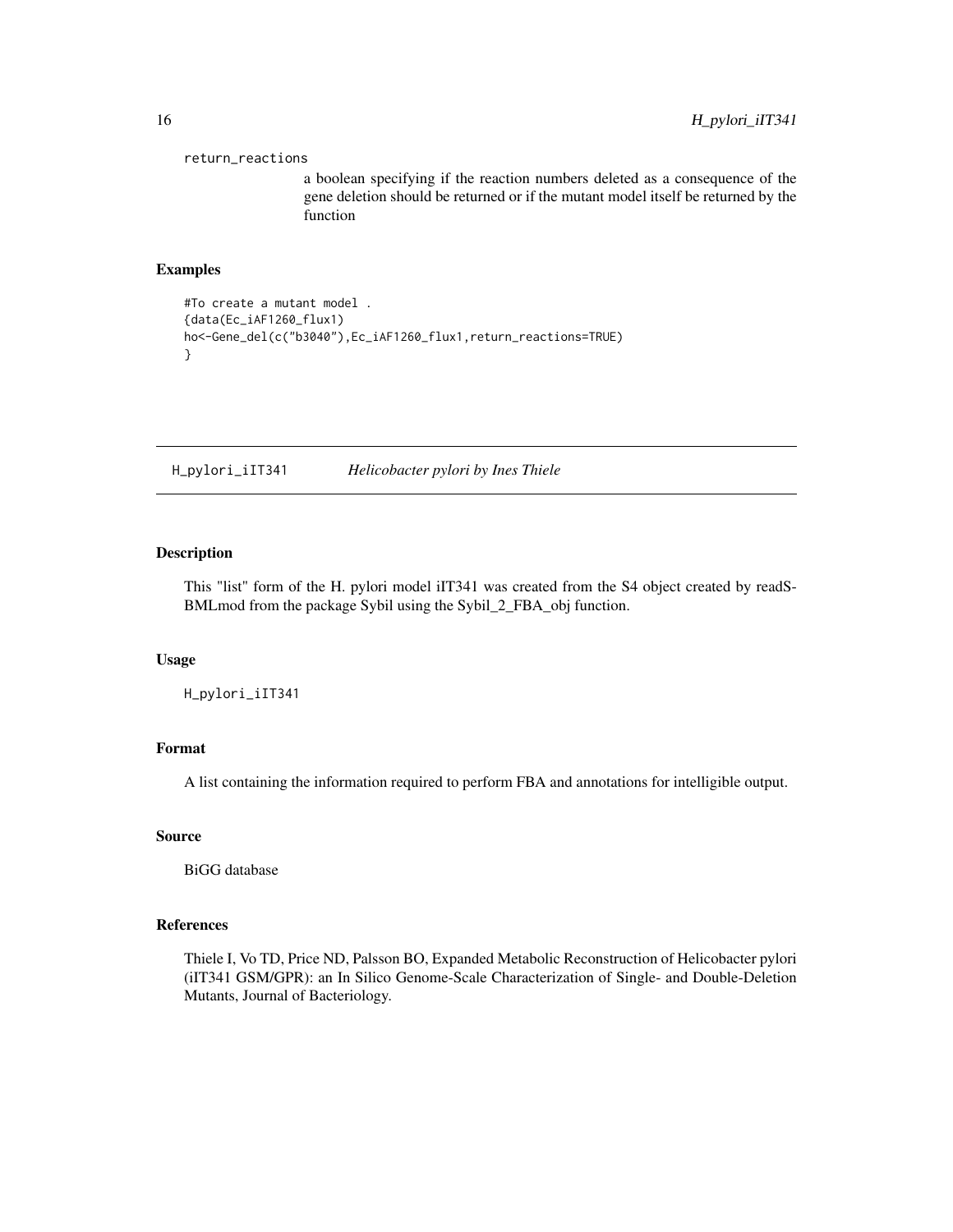```
return_reactions
```
a boolean specifying if the reaction numbers deleted as a consequence of the gene deletion should be returned or if the mutant model itself be returned by the function

#### Examples

```
#To create a mutant model .
{data(Ec_iAF1260_flux1)
ho<-Gene_del(c("b3040"),Ec_iAF1260_flux1,return_reactions=TRUE)
}
```
H\_pylori\_iIT341 *Helicobacter pylori by Ines Thiele*

#### Description

This "list" form of the H. pylori model iIT341 was created from the S4 object created by readS-BMLmod from the package Sybil using the Sybil\_2\_FBA\_obj function.

#### Usage

H\_pylori\_iIT341

#### Format

A list containing the information required to perform FBA and annotations for intelligible output.

#### Source

BiGG database

#### References

Thiele I, Vo TD, Price ND, Palsson BO, Expanded Metabolic Reconstruction of Helicobacter pylori (iIT341 GSM/GPR): an In Silico Genome-Scale Characterization of Single- and Double-Deletion Mutants, Journal of Bacteriology.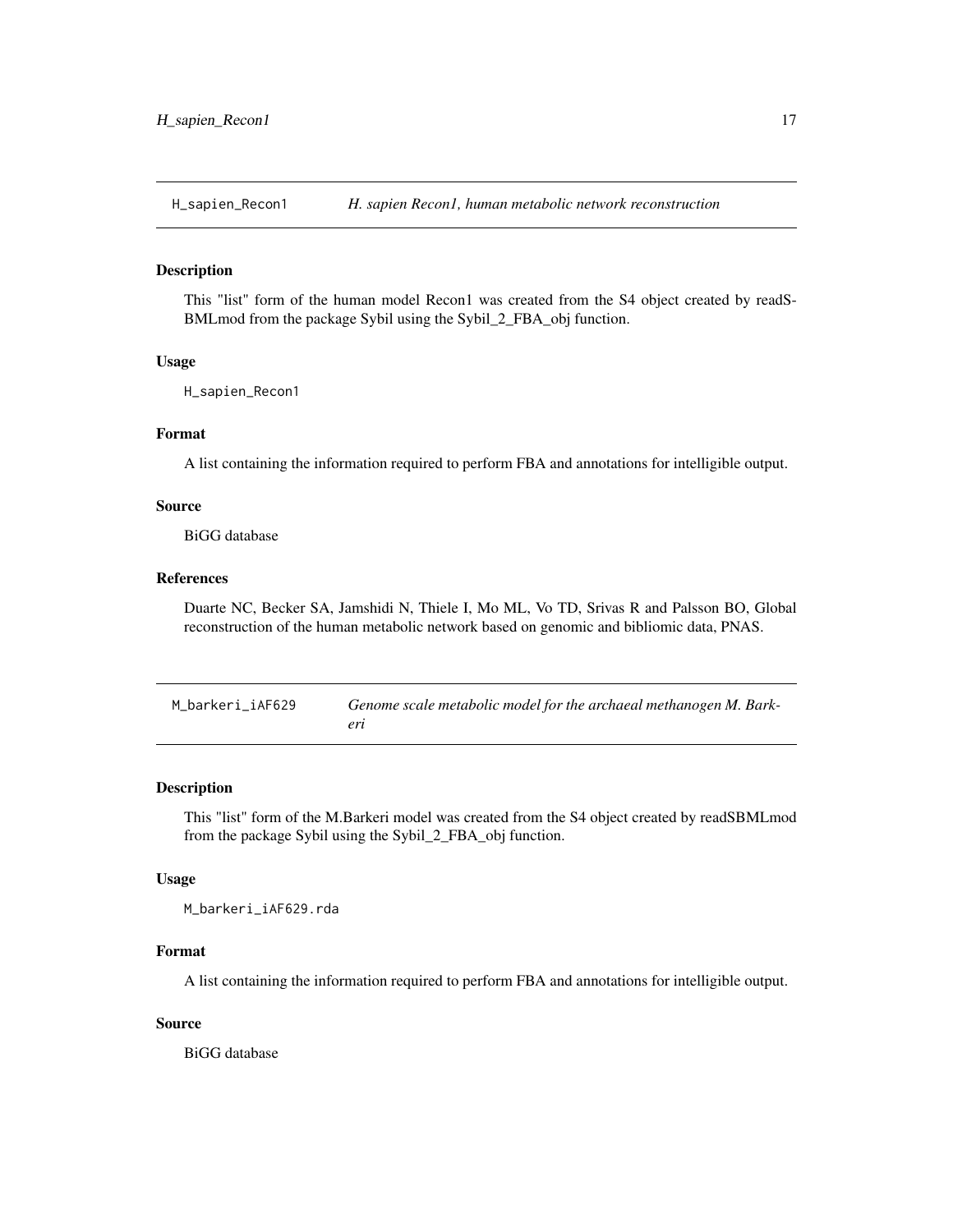<span id="page-16-0"></span>

#### Description

This "list" form of the human model Recon1 was created from the S4 object created by readS-BMLmod from the package Sybil using the Sybil\_2\_FBA\_obj function.

#### Usage

H\_sapien\_Recon1

#### Format

A list containing the information required to perform FBA and annotations for intelligible output.

#### Source

BiGG database

#### References

Duarte NC, Becker SA, Jamshidi N, Thiele I, Mo ML, Vo TD, Srivas R and Palsson BO, Global reconstruction of the human metabolic network based on genomic and bibliomic data, PNAS.

| M barkeri iAF629 | Genome scale metabolic model for the archaeal methanogen M. Bark- |
|------------------|-------------------------------------------------------------------|
|                  | $\rho r$                                                          |

#### Description

This "list" form of the M.Barkeri model was created from the S4 object created by readSBMLmod from the package Sybil using the Sybil\_2\_FBA\_obj function.

#### Usage

M\_barkeri\_iAF629.rda

#### Format

A list containing the information required to perform FBA and annotations for intelligible output.

#### Source

BiGG database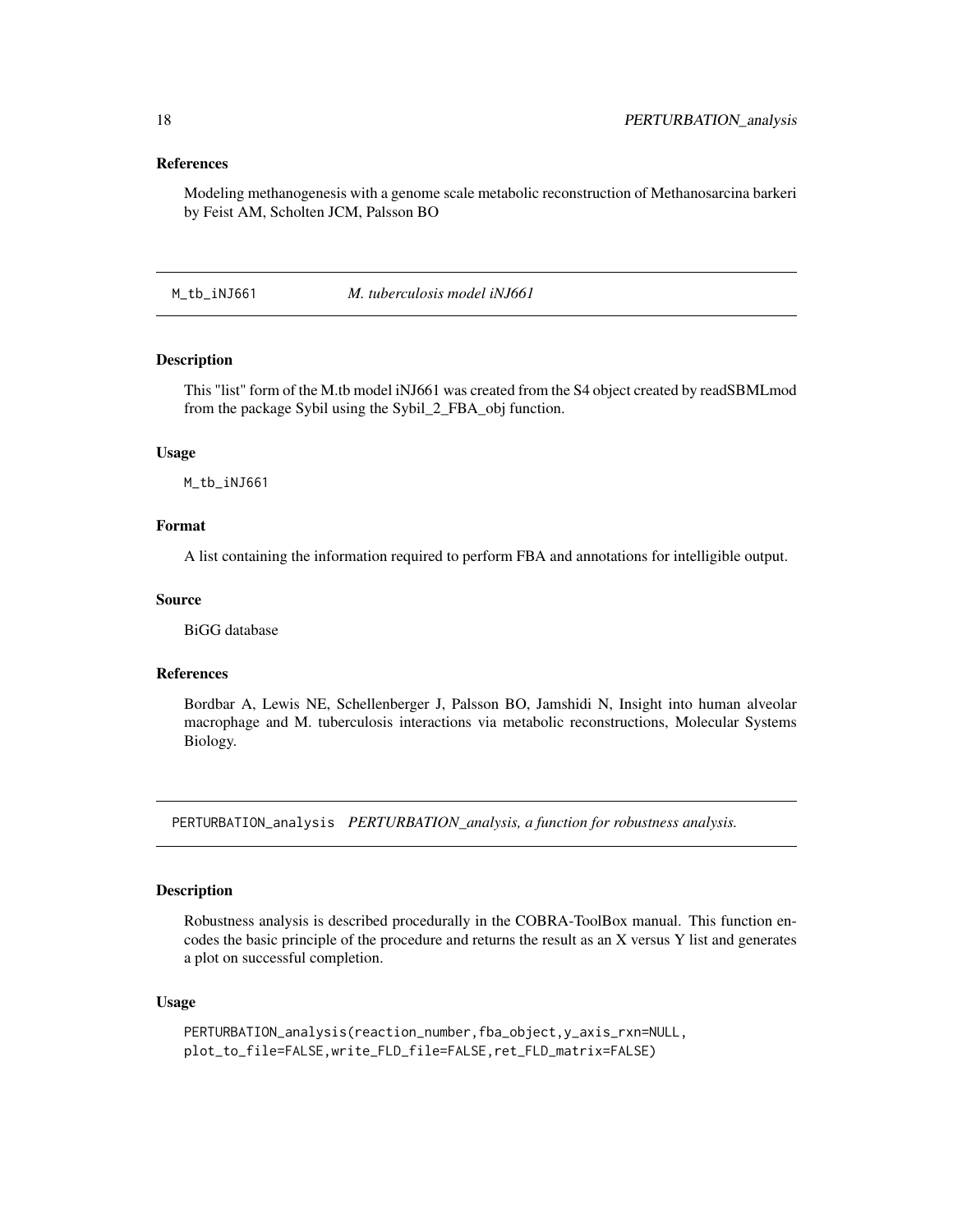#### References

Modeling methanogenesis with a genome scale metabolic reconstruction of Methanosarcina barkeri by Feist AM, Scholten JCM, Palsson BO

M\_tb\_iNJ661 *M. tuberculosis model iNJ661*

#### Description

This "list" form of the M.tb model iNJ661 was created from the S4 object created by readSBMLmod from the package Sybil using the Sybil\_2\_FBA\_obj function.

#### Usage

M\_tb\_iNJ661

#### Format

A list containing the information required to perform FBA and annotations for intelligible output.

#### Source

BiGG database

#### References

Bordbar A, Lewis NE, Schellenberger J, Palsson BO, Jamshidi N, Insight into human alveolar macrophage and M. tuberculosis interactions via metabolic reconstructions, Molecular Systems Biology.

PERTURBATION\_analysis *PERTURBATION\_analysis, a function for robustness analysis.*

#### **Description**

Robustness analysis is described procedurally in the COBRA-ToolBox manual. This function encodes the basic principle of the procedure and returns the result as an X versus Y list and generates a plot on successful completion.

#### Usage

```
PERTURBATION_analysis(reaction_number,fba_object,y_axis_rxn=NULL,
plot_to_file=FALSE,write_FLD_file=FALSE,ret_FLD_matrix=FALSE)
```
<span id="page-17-0"></span>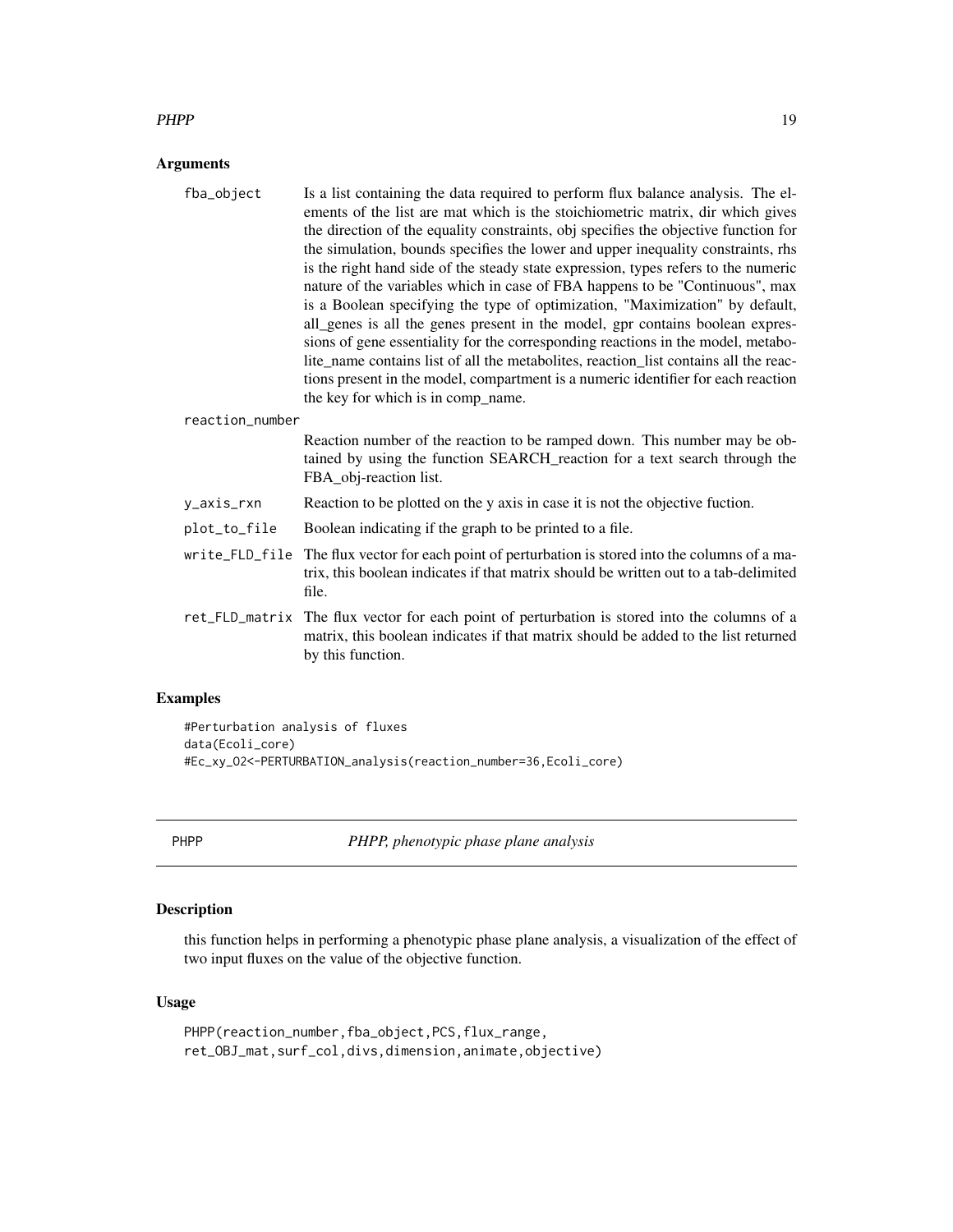#### <span id="page-18-0"></span> $PHPP$  and  $19$

#### Arguments

| fba_object      | Is a list containing the data required to perform flux balance analysis. The el-<br>ements of the list are mat which is the stoichiometric matrix, dir which gives<br>the direction of the equality constraints, obj specifies the objective function for<br>the simulation, bounds specifies the lower and upper inequality constraints, rhs<br>is the right hand side of the steady state expression, types refers to the numeric<br>nature of the variables which in case of FBA happens to be "Continuous", max<br>is a Boolean specifying the type of optimization, "Maximization" by default,<br>all_genes is all the genes present in the model, gpr contains boolean expres-<br>sions of gene essentiality for the corresponding reactions in the model, metabo-<br>lite_name contains list of all the metabolites, reaction_list contains all the reac-<br>tions present in the model, compartment is a numeric identifier for each reaction |
|-----------------|-------------------------------------------------------------------------------------------------------------------------------------------------------------------------------------------------------------------------------------------------------------------------------------------------------------------------------------------------------------------------------------------------------------------------------------------------------------------------------------------------------------------------------------------------------------------------------------------------------------------------------------------------------------------------------------------------------------------------------------------------------------------------------------------------------------------------------------------------------------------------------------------------------------------------------------------------------|
|                 | the key for which is in comp_name.                                                                                                                                                                                                                                                                                                                                                                                                                                                                                                                                                                                                                                                                                                                                                                                                                                                                                                                    |
| reaction_number |                                                                                                                                                                                                                                                                                                                                                                                                                                                                                                                                                                                                                                                                                                                                                                                                                                                                                                                                                       |
|                 | Reaction number of the reaction to be ramped down. This number may be ob-<br>tained by using the function SEARCH_reaction for a text search through the<br>FBA_obj-reaction list.                                                                                                                                                                                                                                                                                                                                                                                                                                                                                                                                                                                                                                                                                                                                                                     |
| y_axis_rxn      | Reaction to be plotted on the y axis in case it is not the objective fuction.                                                                                                                                                                                                                                                                                                                                                                                                                                                                                                                                                                                                                                                                                                                                                                                                                                                                         |
| plot_to_file    | Boolean indicating if the graph to be printed to a file.                                                                                                                                                                                                                                                                                                                                                                                                                                                                                                                                                                                                                                                                                                                                                                                                                                                                                              |
|                 | write_FLD_file The flux vector for each point of perturbation is stored into the columns of a ma-<br>trix, this boolean indicates if that matrix should be written out to a tab-delimited<br>file.                                                                                                                                                                                                                                                                                                                                                                                                                                                                                                                                                                                                                                                                                                                                                    |
|                 | ret_FLD_matrix The flux vector for each point of perturbation is stored into the columns of a<br>matrix, this boolean indicates if that matrix should be added to the list returned<br>by this function.                                                                                                                                                                                                                                                                                                                                                                                                                                                                                                                                                                                                                                                                                                                                              |

#### Examples

```
#Perturbation analysis of fluxes
data(Ecoli_core)
#Ec_xy_O2<-PERTURBATION_analysis(reaction_number=36,Ecoli_core)
```
PHPP *PHPP, phenotypic phase plane analysis*

### Description

this function helps in performing a phenotypic phase plane analysis, a visualization of the effect of two input fluxes on the value of the objective function.

#### Usage

```
PHPP(reaction_number,fba_object,PCS,flux_range,
ret_OBJ_mat,surf_col,divs,dimension,animate,objective)
```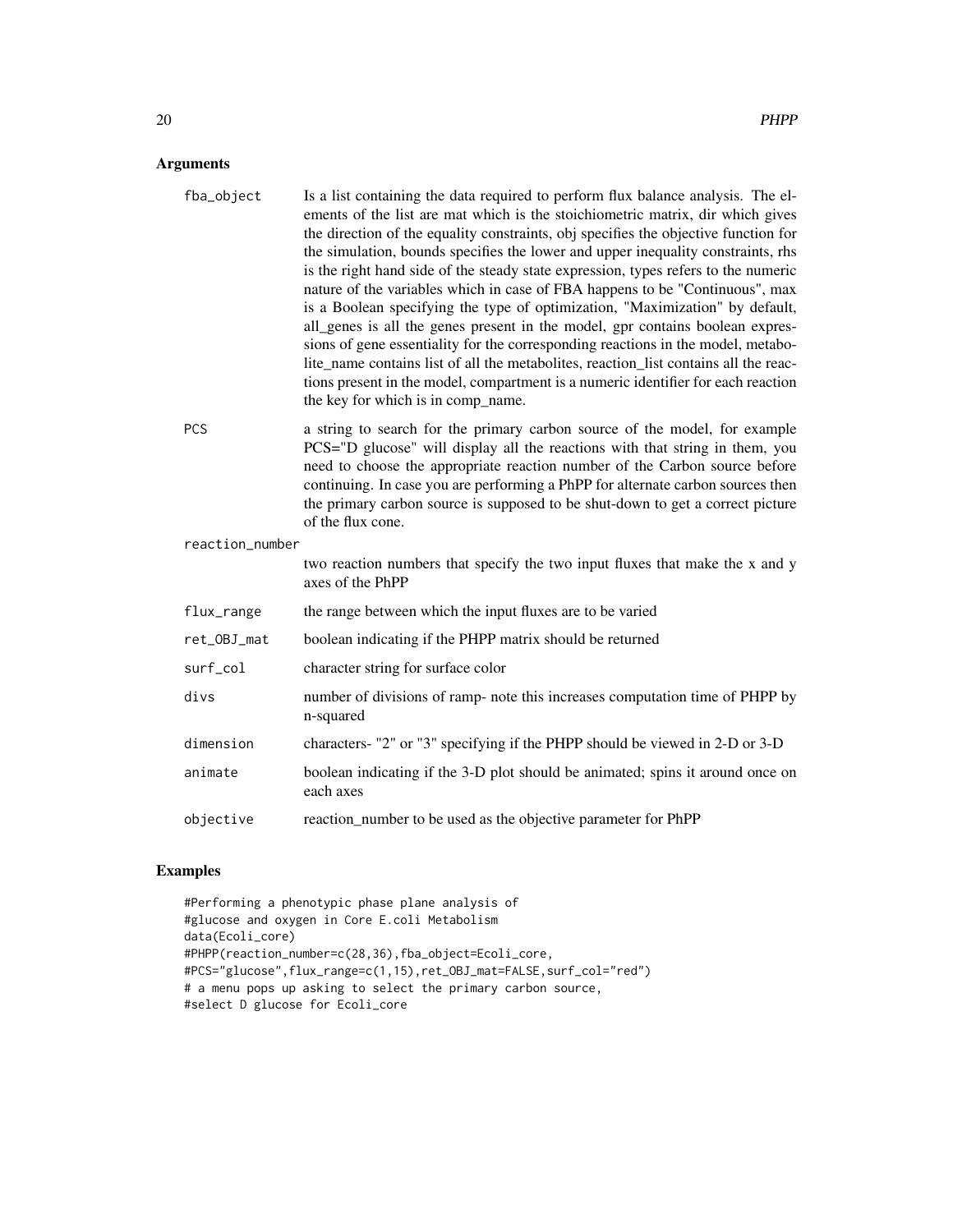#### Arguments

| fba_object      | Is a list containing the data required to perform flux balance analysis. The el-<br>ements of the list are mat which is the stoichiometric matrix, dir which gives<br>the direction of the equality constraints, obj specifies the objective function for<br>the simulation, bounds specifies the lower and upper inequality constraints, rhs<br>is the right hand side of the steady state expression, types refers to the numeric<br>nature of the variables which in case of FBA happens to be "Continuous", max<br>is a Boolean specifying the type of optimization, "Maximization" by default,<br>all_genes is all the genes present in the model, gpr contains boolean expres-<br>sions of gene essentiality for the corresponding reactions in the model, metabo-<br>lite_name contains list of all the metabolites, reaction_list contains all the reac-<br>tions present in the model, compartment is a numeric identifier for each reaction<br>the key for which is in comp_name. |
|-----------------|---------------------------------------------------------------------------------------------------------------------------------------------------------------------------------------------------------------------------------------------------------------------------------------------------------------------------------------------------------------------------------------------------------------------------------------------------------------------------------------------------------------------------------------------------------------------------------------------------------------------------------------------------------------------------------------------------------------------------------------------------------------------------------------------------------------------------------------------------------------------------------------------------------------------------------------------------------------------------------------------|
| <b>PCS</b>      | a string to search for the primary carbon source of the model, for example<br>PCS="D glucose" will display all the reactions with that string in them, you<br>need to choose the appropriate reaction number of the Carbon source before<br>continuing. In case you are performing a PhPP for alternate carbon sources then<br>the primary carbon source is supposed to be shut-down to get a correct picture<br>of the flux cone.                                                                                                                                                                                                                                                                                                                                                                                                                                                                                                                                                          |
| reaction_number |                                                                                                                                                                                                                                                                                                                                                                                                                                                                                                                                                                                                                                                                                                                                                                                                                                                                                                                                                                                             |
|                 | two reaction numbers that specify the two input fluxes that make the x and y<br>axes of the PhPP                                                                                                                                                                                                                                                                                                                                                                                                                                                                                                                                                                                                                                                                                                                                                                                                                                                                                            |
| flux_range      | the range between which the input fluxes are to be varied                                                                                                                                                                                                                                                                                                                                                                                                                                                                                                                                                                                                                                                                                                                                                                                                                                                                                                                                   |
| ret_OBJ_mat     | boolean indicating if the PHPP matrix should be returned                                                                                                                                                                                                                                                                                                                                                                                                                                                                                                                                                                                                                                                                                                                                                                                                                                                                                                                                    |
| surf_col        | character string for surface color                                                                                                                                                                                                                                                                                                                                                                                                                                                                                                                                                                                                                                                                                                                                                                                                                                                                                                                                                          |
| divs            | number of divisions of ramp- note this increases computation time of PHPP by<br>n-squared                                                                                                                                                                                                                                                                                                                                                                                                                                                                                                                                                                                                                                                                                                                                                                                                                                                                                                   |
| dimension       | characters- "2" or "3" specifying if the PHPP should be viewed in 2-D or 3-D                                                                                                                                                                                                                                                                                                                                                                                                                                                                                                                                                                                                                                                                                                                                                                                                                                                                                                                |
| animate         | boolean indicating if the 3-D plot should be animated; spins it around once on<br>each axes                                                                                                                                                                                                                                                                                                                                                                                                                                                                                                                                                                                                                                                                                                                                                                                                                                                                                                 |
| objective       | reaction_number to be used as the objective parameter for PhPP                                                                                                                                                                                                                                                                                                                                                                                                                                                                                                                                                                                                                                                                                                                                                                                                                                                                                                                              |

#### Examples

```
#Performing a phenotypic phase plane analysis of
#glucose and oxygen in Core E.coli Metabolism
data(Ecoli_core)
#PHPP(reaction_number=c(28,36),fba_object=Ecoli_core,
#PCS="glucose",flux_range=c(1,15),ret_OBJ_mat=FALSE,surf_col="red")
# a menu pops up asking to select the primary carbon source,
#select D glucose for Ecoli_core
```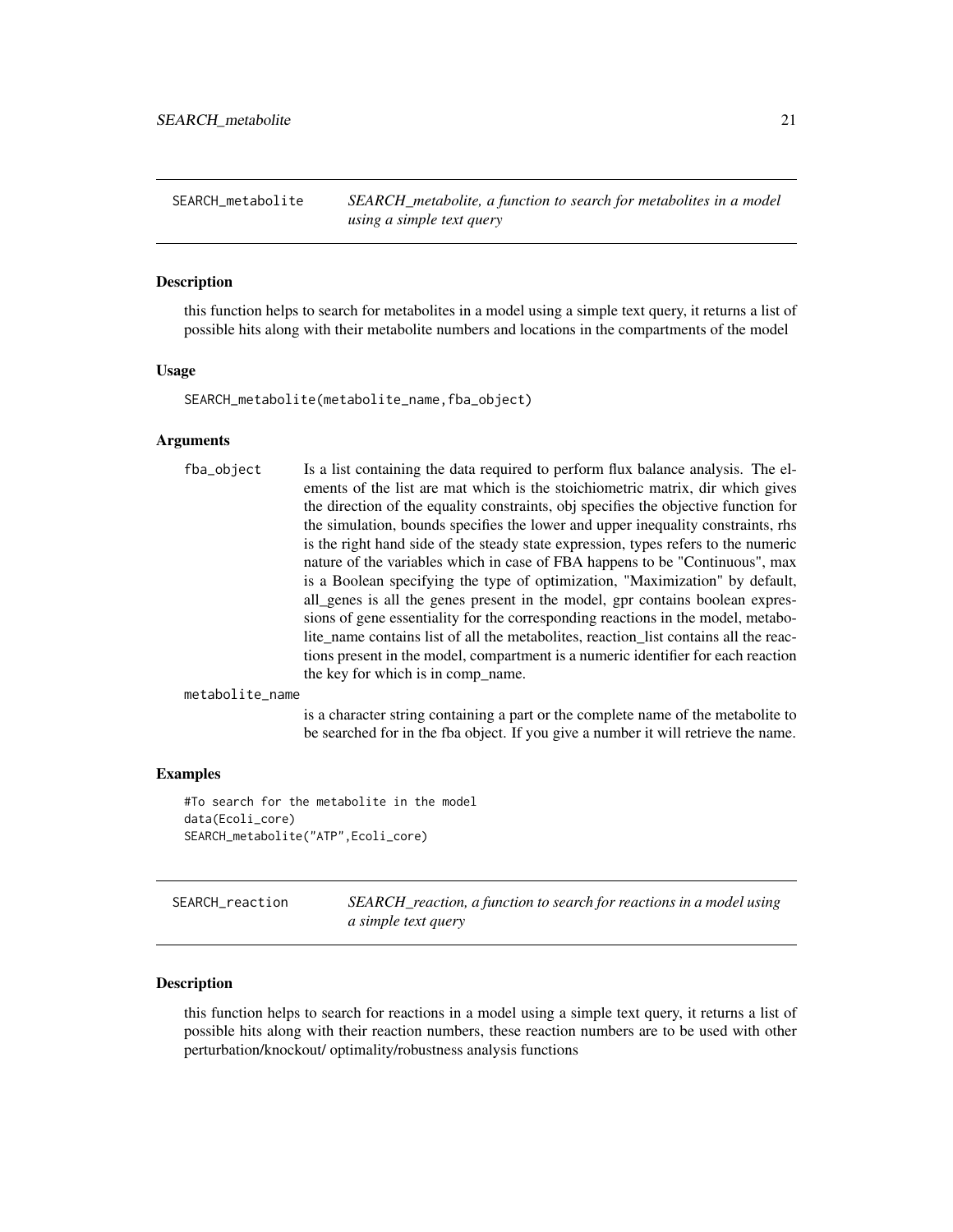<span id="page-20-0"></span>SEARCH\_metabolite *SEARCH\_metabolite, a function to search for metabolites in a model using a simple text query*

#### Description

this function helps to search for metabolites in a model using a simple text query, it returns a list of possible hits along with their metabolite numbers and locations in the compartments of the model

#### Usage

SEARCH\_metabolite(metabolite\_name,fba\_object)

#### Arguments

|  | fba_object | Is a list containing the data required to perform flux balance analysis. The el-<br>ements of the list are mat which is the stoichiometric matrix, dir which gives<br>the direction of the equality constraints, obj specifies the objective function for<br>the simulation, bounds specifies the lower and upper inequality constraints, rhs<br>is the right hand side of the steady state expression, types refers to the numeric<br>nature of the variables which in case of FBA happens to be "Continuous", max<br>is a Boolean specifying the type of optimization, "Maximization" by default,<br>all_genes is all the genes present in the model, gpr contains boolean expres-<br>sions of gene essentiality for the corresponding reactions in the model, metabo-<br>lite_name contains list of all the metabolites, reaction_list contains all the reac-<br>tions present in the model, compartment is a numeric identifier for each reaction<br>the key for which is in comp name. |
|--|------------|---------------------------------------------------------------------------------------------------------------------------------------------------------------------------------------------------------------------------------------------------------------------------------------------------------------------------------------------------------------------------------------------------------------------------------------------------------------------------------------------------------------------------------------------------------------------------------------------------------------------------------------------------------------------------------------------------------------------------------------------------------------------------------------------------------------------------------------------------------------------------------------------------------------------------------------------------------------------------------------------|
|--|------------|---------------------------------------------------------------------------------------------------------------------------------------------------------------------------------------------------------------------------------------------------------------------------------------------------------------------------------------------------------------------------------------------------------------------------------------------------------------------------------------------------------------------------------------------------------------------------------------------------------------------------------------------------------------------------------------------------------------------------------------------------------------------------------------------------------------------------------------------------------------------------------------------------------------------------------------------------------------------------------------------|

metabolite\_name

is a character string containing a part or the complete name of the metabolite to be searched for in the fba object. If you give a number it will retrieve the name.

#### Examples

```
#To search for the metabolite in the model
data(Ecoli_core)
SEARCH_metabolite("ATP",Ecoli_core)
```
SEARCH\_reaction *SEARCH\_reaction, a function to search for reactions in a model using a simple text query*

#### **Description**

this function helps to search for reactions in a model using a simple text query, it returns a list of possible hits along with their reaction numbers, these reaction numbers are to be used with other perturbation/knockout/ optimality/robustness analysis functions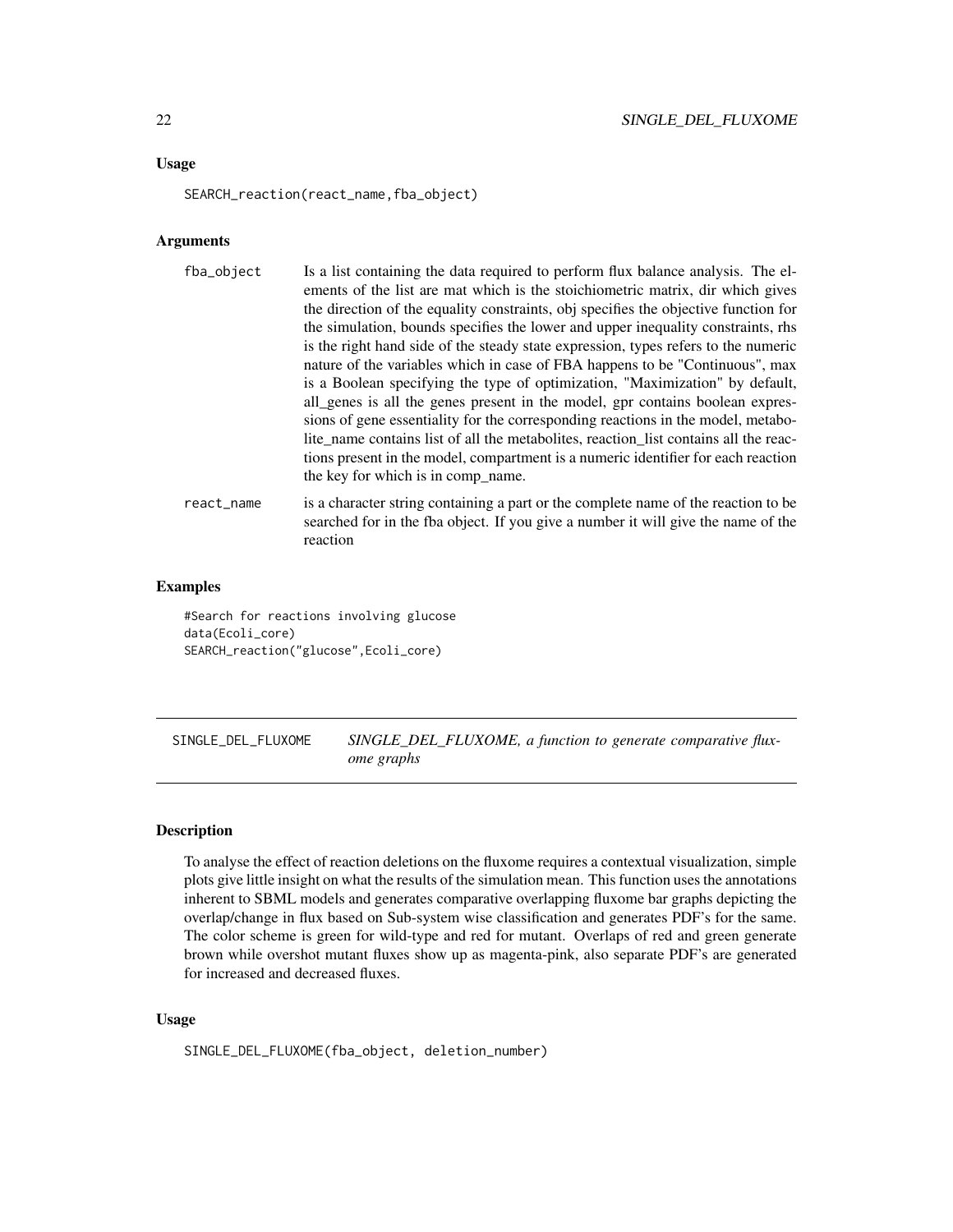#### <span id="page-21-0"></span>Usage

SEARCH\_reaction(react\_name,fba\_object)

#### Arguments

| fba_object | Is a list containing the data required to perform flux balance analysis. The el-<br>ements of the list are mat which is the stoichiometric matrix, dir which gives<br>the direction of the equality constraints, obj specifies the objective function for<br>the simulation, bounds specifies the lower and upper inequality constraints, rhs<br>is the right hand side of the steady state expression, types refers to the numeric<br>nature of the variables which in case of FBA happens to be "Continuous", max<br>is a Boolean specifying the type of optimization, "Maximization" by default,<br>all genes is all the genes present in the model, gpr contains boolean expres-<br>sions of gene essentiality for the corresponding reactions in the model, metabo-<br>lite name contains list of all the metabolities, reaction list contains all the reac-<br>tions present in the model, compartment is a numeric identifier for each reaction<br>the key for which is in comp name. |
|------------|----------------------------------------------------------------------------------------------------------------------------------------------------------------------------------------------------------------------------------------------------------------------------------------------------------------------------------------------------------------------------------------------------------------------------------------------------------------------------------------------------------------------------------------------------------------------------------------------------------------------------------------------------------------------------------------------------------------------------------------------------------------------------------------------------------------------------------------------------------------------------------------------------------------------------------------------------------------------------------------------|
| react_name | is a character string containing a part or the complete name of the reaction to be<br>searched for in the fba object. If you give a number it will give the name of the                                                                                                                                                                                                                                                                                                                                                                                                                                                                                                                                                                                                                                                                                                                                                                                                                      |

#### Examples

#Search for reactions involving glucose data(Ecoli\_core) SEARCH\_reaction("glucose",Ecoli\_core)

reaction

SINGLE\_DEL\_FLUXOME *SINGLE\_DEL\_FLUXOME, a function to generate comparative fluxome graphs*

#### Description

To analyse the effect of reaction deletions on the fluxome requires a contextual visualization, simple plots give little insight on what the results of the simulation mean. This function uses the annotations inherent to SBML models and generates comparative overlapping fluxome bar graphs depicting the overlap/change in flux based on Sub-system wise classification and generates PDF's for the same. The color scheme is green for wild-type and red for mutant. Overlaps of red and green generate brown while overshot mutant fluxes show up as magenta-pink, also separate PDF's are generated for increased and decreased fluxes.

#### Usage

```
SINGLE_DEL_FLUXOME(fba_object, deletion_number)
```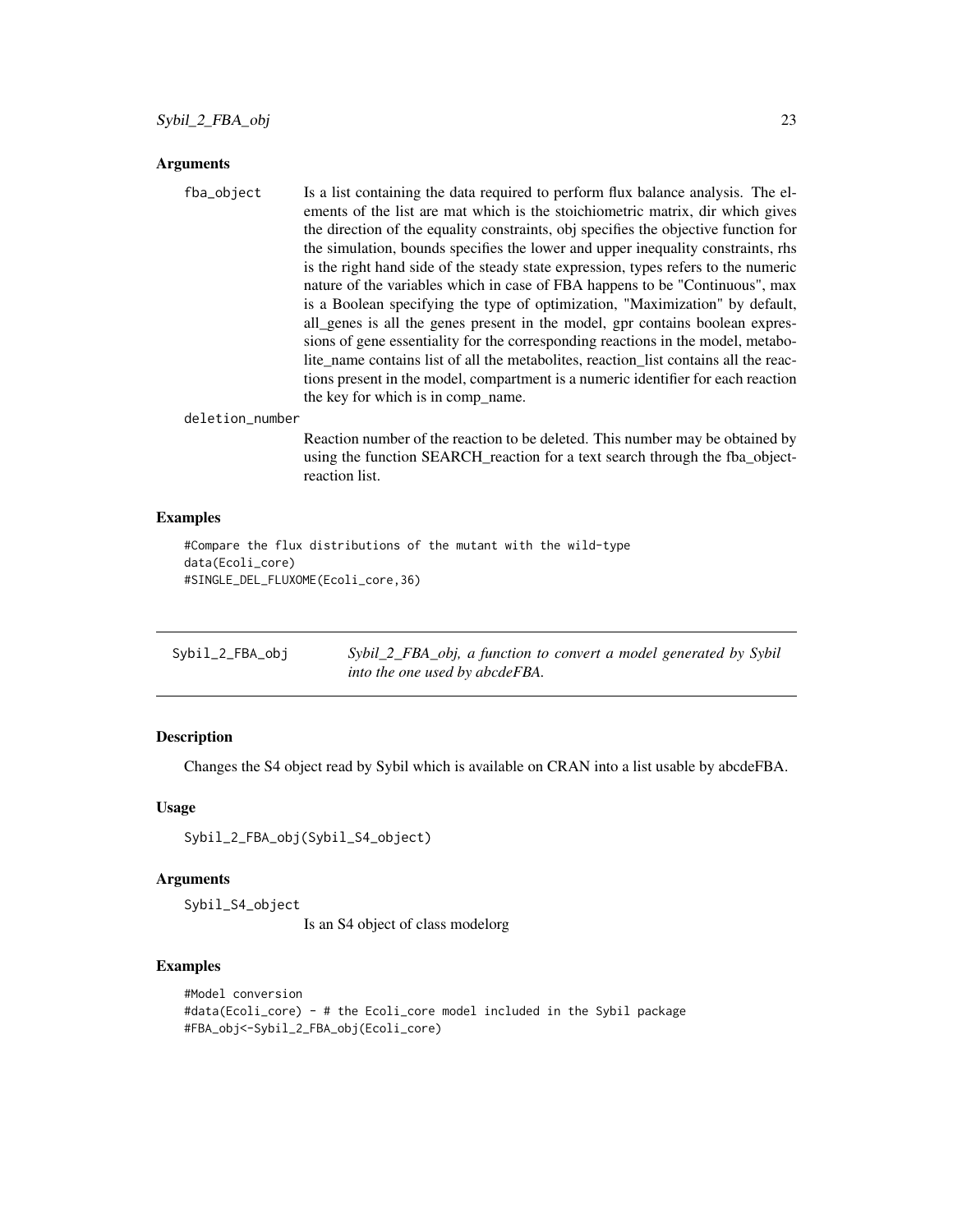#### <span id="page-22-0"></span>Arguments

| fba_object | Is a list containing the data required to perform flux balance analysis. The el-     |
|------------|--------------------------------------------------------------------------------------|
|            | ements of the list are mat which is the stoichiometric matrix, dir which gives       |
|            | the direction of the equality constraints, obj specifies the objective function for  |
|            | the simulation, bounds specifies the lower and upper inequality constraints, rhs     |
|            | is the right hand side of the steady state expression, types refers to the numeric   |
|            | nature of the variables which in case of FBA happens to be "Continuous", max         |
|            | is a Boolean specifying the type of optimization, "Maximization" by default,         |
|            | all_genes is all the genes present in the model, gpr contains boolean expres-        |
|            | sions of gene essentiality for the corresponding reactions in the model, metabo-     |
|            | lite_name contains list of all the metabolites, reaction_list contains all the reac- |
|            | tions present in the model, compartment is a numeric identifier for each reaction    |
|            | the key for which is in comp_name.                                                   |
|            |                                                                                      |

#### deletion\_number

Reaction number of the reaction to be deleted. This number may be obtained by using the function SEARCH\_reaction for a text search through the fba\_objectreaction list.

#### Examples

```
#Compare the flux distributions of the mutant with the wild-type
data(Ecoli_core)
#SINGLE_DEL_FLUXOME(Ecoli_core,36)
```

| Sybil_2_FBA_obj | Sybil_2_FBA_obj, a function to convert a model generated by Sybil |
|-----------------|-------------------------------------------------------------------|
|                 | into the one used by abcdeFBA.                                    |

#### Description

Changes the S4 object read by Sybil which is available on CRAN into a list usable by abcdeFBA.

#### Usage

```
Sybil_2_FBA_obj(Sybil_S4_object)
```
#### Arguments

Sybil\_S4\_object

Is an S4 object of class modelorg

#### Examples

```
#Model conversion
#data(Ecoli_core) - # the Ecoli_core model included in the Sybil package
#FBA_obj<-Sybil_2_FBA_obj(Ecoli_core)
```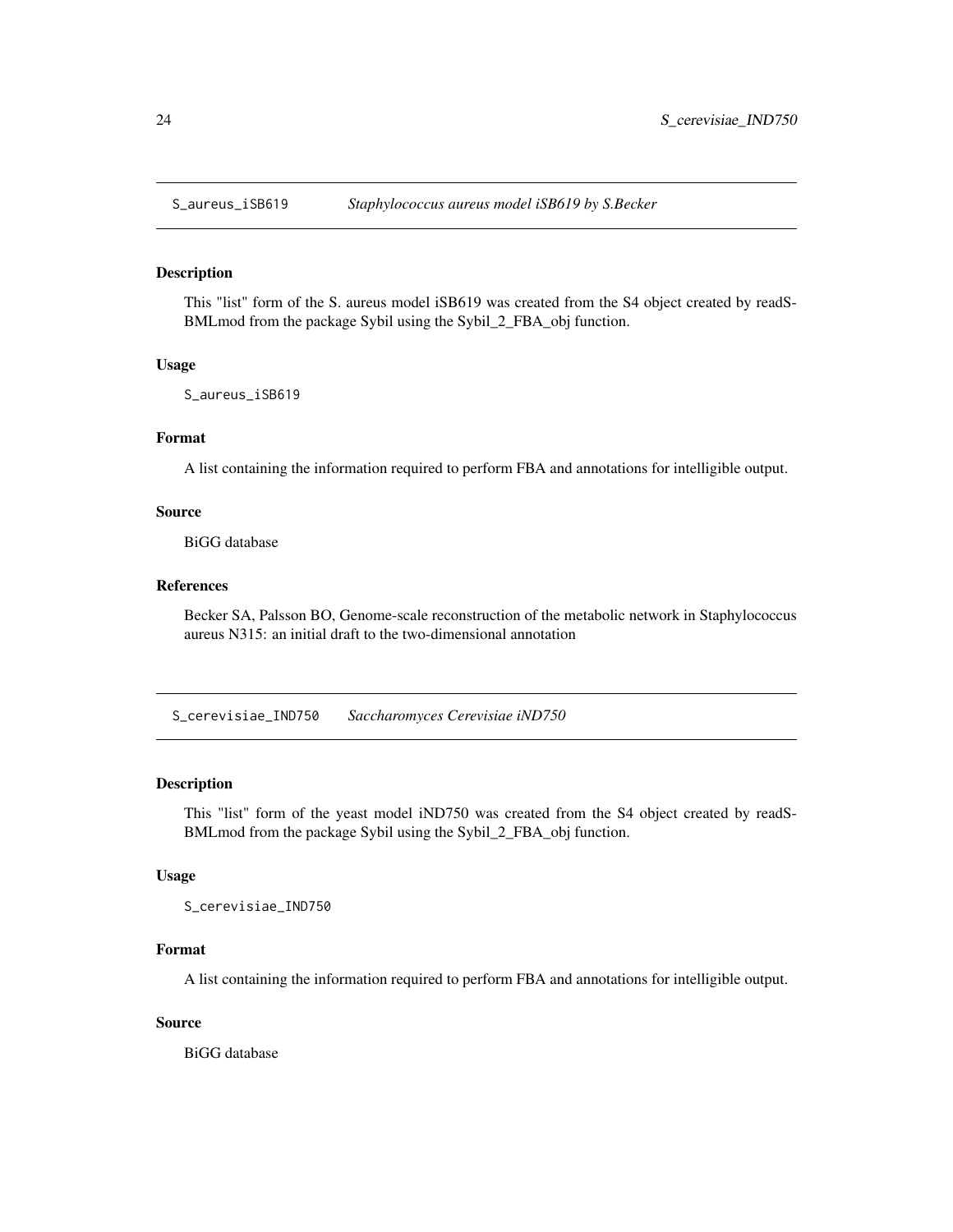<span id="page-23-0"></span>

#### Description

This "list" form of the S. aureus model iSB619 was created from the S4 object created by readS-BMLmod from the package Sybil using the Sybil\_2\_FBA\_obj function.

#### Usage

S\_aureus\_iSB619

#### Format

A list containing the information required to perform FBA and annotations for intelligible output.

#### Source

BiGG database

#### References

Becker SA, Palsson BO, Genome-scale reconstruction of the metabolic network in Staphylococcus aureus N315: an initial draft to the two-dimensional annotation

S\_cerevisiae\_IND750 *Saccharomyces Cerevisiae iND750*

#### Description

This "list" form of the yeast model iND750 was created from the S4 object created by readS-BMLmod from the package Sybil using the Sybil\_2\_FBA\_obj function.

#### Usage

S\_cerevisiae\_IND750

#### Format

A list containing the information required to perform FBA and annotations for intelligible output.

#### Source

BiGG database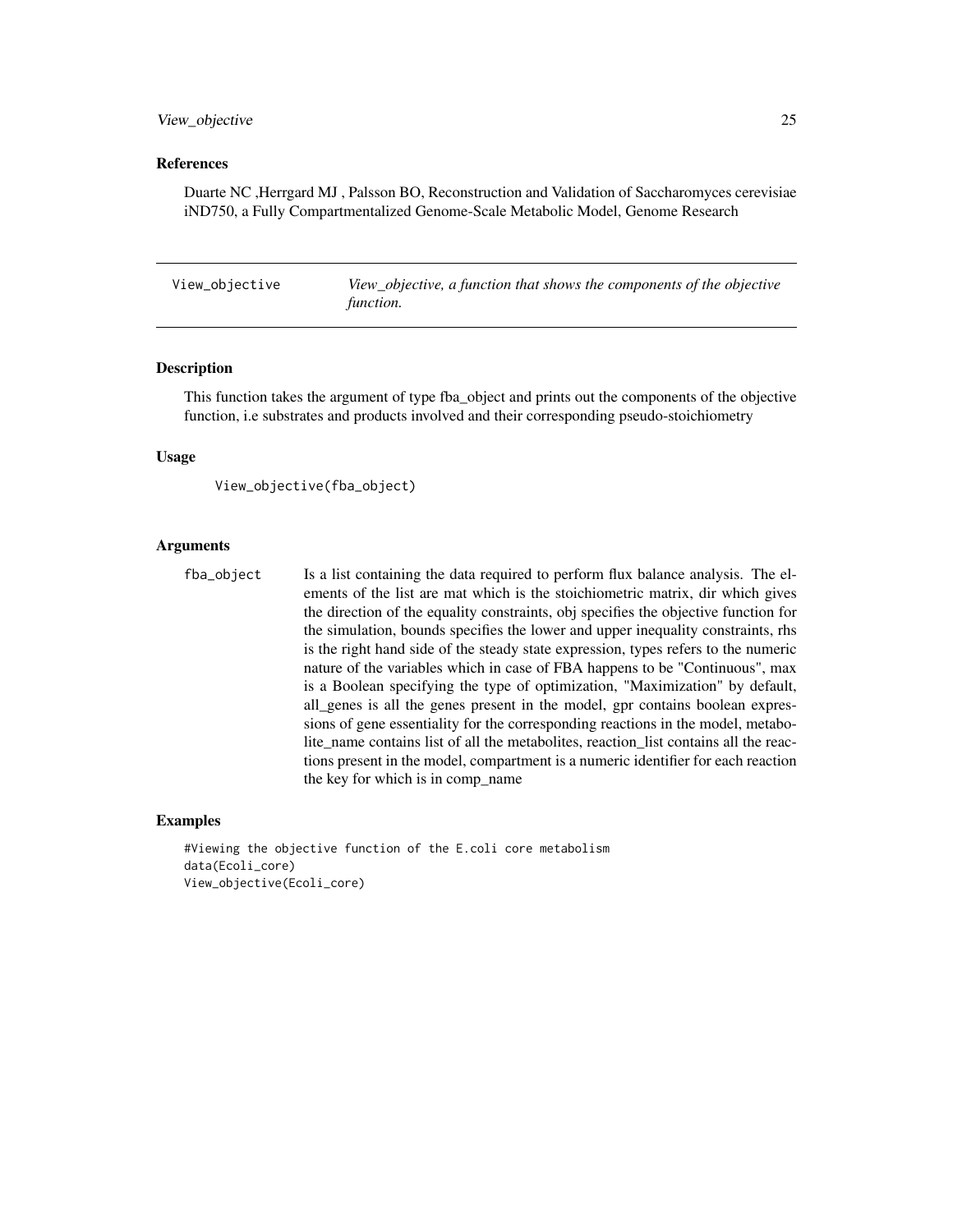#### <span id="page-24-0"></span>View\_objective 25

#### References

Duarte NC ,Herrgard MJ , Palsson BO, Reconstruction and Validation of Saccharomyces cerevisiae iND750, a Fully Compartmentalized Genome-Scale Metabolic Model, Genome Research

View\_objective *View\_objective, a function that shows the components of the objective function.*

#### Description

This function takes the argument of type fba\_object and prints out the components of the objective function, i.e substrates and products involved and their corresponding pseudo-stoichiometry

#### Usage

```
View_objective(fba_object)
```
#### Arguments

fba\_object Is a list containing the data required to perform flux balance analysis. The elements of the list are mat which is the stoichiometric matrix, dir which gives the direction of the equality constraints, obj specifies the objective function for the simulation, bounds specifies the lower and upper inequality constraints, rhs is the right hand side of the steady state expression, types refers to the numeric nature of the variables which in case of FBA happens to be "Continuous", max is a Boolean specifying the type of optimization, "Maximization" by default, all\_genes is all the genes present in the model, gpr contains boolean expressions of gene essentiality for the corresponding reactions in the model, metabolite\_name contains list of all the metabolites, reaction\_list contains all the reactions present in the model, compartment is a numeric identifier for each reaction the key for which is in comp\_name

#### Examples

```
#Viewing the objective function of the E.coli core metabolism
data(Ecoli_core)
View_objective(Ecoli_core)
```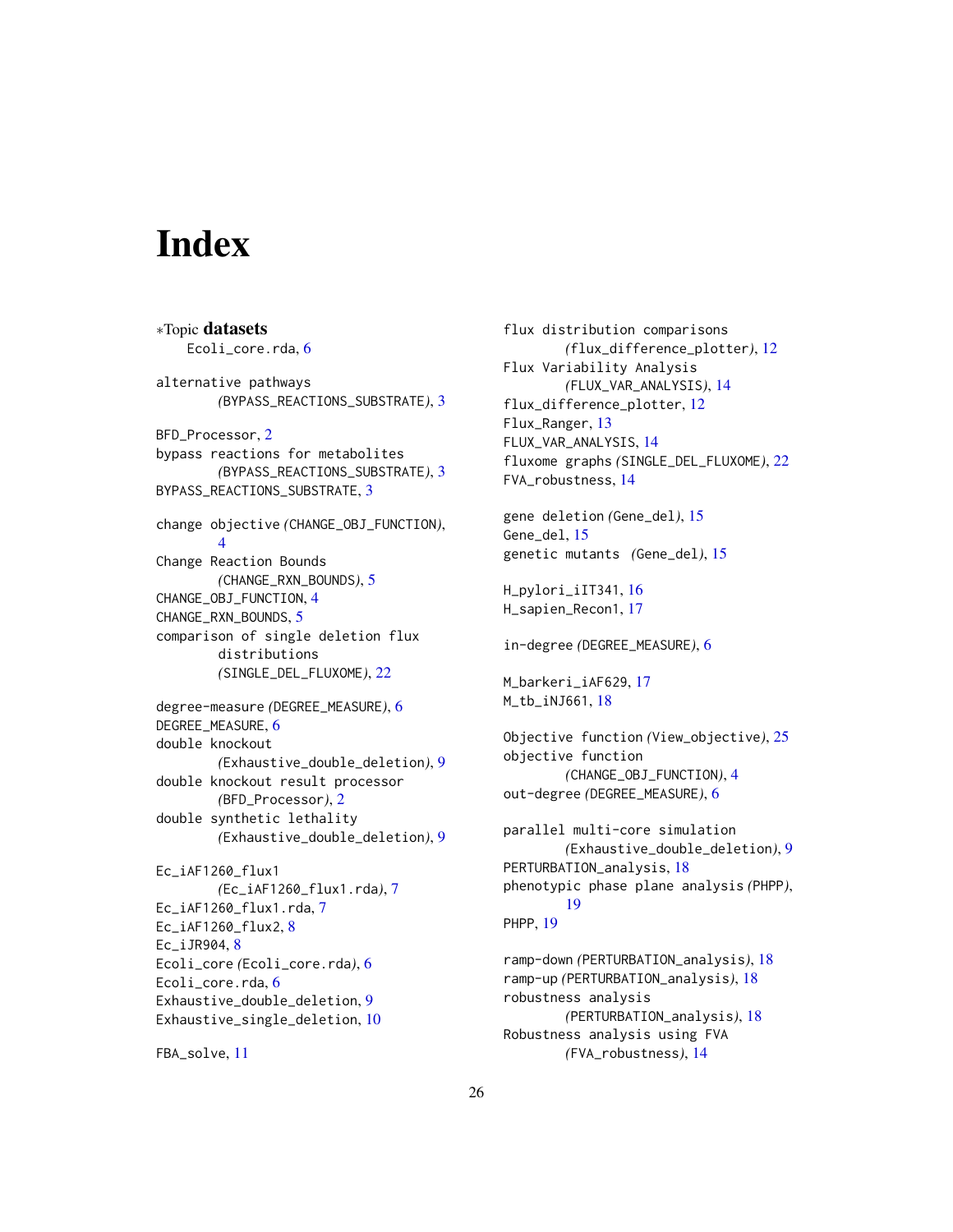# <span id="page-25-0"></span>**Index**

∗Topic datasets Ecoli\_core.rda, [6](#page-5-0) alternative pathways *(*BYPASS\_REACTIONS\_SUBSTRATE*)*, [3](#page-2-0) BFD\_Processor, [2](#page-1-0) bypass reactions for metabolites *(*BYPASS\_REACTIONS\_SUBSTRATE*)*, [3](#page-2-0) BYPASS\_REACTIONS\_SUBSTRATE, [3](#page-2-0) change objective *(*CHANGE\_OBJ\_FUNCTION*)*, [4](#page-3-0) Change Reaction Bounds *(*CHANGE\_RXN\_BOUNDS*)*, [5](#page-4-0) CHANGE\_OBJ\_FUNCTION, [4](#page-3-0) CHANGE\_RXN\_BOUNDS, [5](#page-4-0) comparison of single deletion flux distributions *(*SINGLE\_DEL\_FLUXOME*)*, [22](#page-21-0) degree-measure *(*DEGREE\_MEASURE*)*, [6](#page-5-0) DEGREE\_MEASURE, [6](#page-5-0) double knockout *(*Exhaustive\_double\_deletion*)*, [9](#page-8-0) double knockout result processor *(*BFD\_Processor*)*, [2](#page-1-0) double synthetic lethality *(*Exhaustive\_double\_deletion*)*, [9](#page-8-0) Ec\_iAF1260\_flux1 *(*Ec\_iAF1260\_flux1.rda*)*, [7](#page-6-0) Ec\_iAF1260\_flux1.rda, [7](#page-6-0)  $Ec_i$ AF1260 $flux2, 8$  $flux2, 8$ Ec\_iJR904, [8](#page-7-0) Ecoli\_core *(*Ecoli\_core.rda*)*, [6](#page-5-0) Ecoli core.rda. [6](#page-5-0) Exhaustive\_double\_deletion, [9](#page-8-0) Exhaustive\_single\_deletion, [10](#page-9-0)

FBA\_solve, [11](#page-10-0)

flux distribution comparisons *(*flux\_difference\_plotter*)*, [12](#page-11-0) Flux Variability Analysis *(*FLUX\_VAR\_ANALYSIS*)*, [14](#page-13-0) flux\_difference\_plotter, [12](#page-11-0) Flux\_Ranger, [13](#page-12-0) FLUX\_VAR\_ANALYSIS, [14](#page-13-0) fluxome graphs *(*SINGLE\_DEL\_FLUXOME*)*, [22](#page-21-0) FVA\_robustness, [14](#page-13-0) gene deletion *(*Gene\_del*)*, [15](#page-14-0) Gene\_del, [15](#page-14-0) genetic mutants *(*Gene\_del*)*, [15](#page-14-0) H\_pylori\_iIT341, [16](#page-15-0) H\_sapien\_Recon1, [17](#page-16-0) in-degree *(*DEGREE\_MEASURE*)*, [6](#page-5-0) M\_barkeri\_iAF629, [17](#page-16-0) M\_tb\_iNJ661, [18](#page-17-0) Objective function *(*View\_objective*)*, [25](#page-24-0) objective function *(*CHANGE\_OBJ\_FUNCTION*)*, [4](#page-3-0) out-degree *(*DEGREE\_MEASURE*)*, [6](#page-5-0) parallel multi-core simulation *(*Exhaustive\_double\_deletion*)*, [9](#page-8-0) PERTURBATION\_analysis, [18](#page-17-0) phenotypic phase plane analysis *(*PHPP*)*, [19](#page-18-0) PHPP, [19](#page-18-0) ramp-down *(*PERTURBATION\_analysis*)*, [18](#page-17-0) ramp-up *(*PERTURBATION\_analysis*)*, [18](#page-17-0)

robustness analysis *(*PERTURBATION\_analysis*)*, [18](#page-17-0) Robustness analysis using FVA *(*FVA\_robustness*)*, [14](#page-13-0)